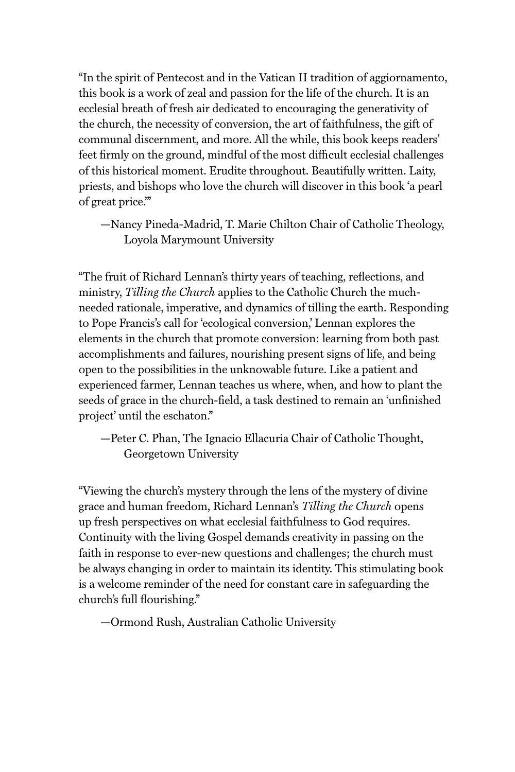"In the spirit of Pentecost and in the Vatican II tradition of aggiornamento, this book is a work of zeal and passion for the life of the church. It is an ecclesial breath of fresh air dedicated to encouraging the generativity of the church, the necessity of conversion, the art of faithfulness, the gift of communal discernment, and more. All the while, this book keeps readers' feet firmly on the ground, mindful of the most difficult ecclesial challenges of this historical moment. Erudite throughout. Beautifully written. Laity, priests, and bishops who love the church will discover in this book 'a pearl of great price.'"

—Nancy Pineda-Madrid, T. Marie Chilton Chair of Catholic Theology, Loyola Marymount University

"The fruit of Richard Lennan's thirty years of teaching, reflections, and ministry, *Tilling the Church* applies to the Catholic Church the muchneeded rationale, imperative, and dynamics of tilling the earth. Responding to Pope Francis's call for 'ecological conversion,' Lennan explores the elements in the church that promote conversion: learning from both past accomplishments and failures, nourishing present signs of life, and being open to the possibilities in the unknowable future. Like a patient and experienced farmer, Lennan teaches us where, when, and how to plant the seeds of grace in the church-field, a task destined to remain an 'unfinished project' until the eschaton."

—Peter C. Phan, The Ignacio Ellacuria Chair of Catholic Thought, Georgetown University

"Viewing the church's mystery through the lens of the mystery of divine grace and human freedom, Richard Lennan's *Tilling the Church* opens up fresh perspectives on what ecclesial faithfulness to God requires. Continuity with the living Gospel demands creativity in passing on the faith in response to ever-new questions and challenges; the church must be always changing in order to maintain its identity. This stimulating book is a welcome reminder of the need for constant care in safeguarding the church's full flourishing."

—Ormond Rush, Australian Catholic University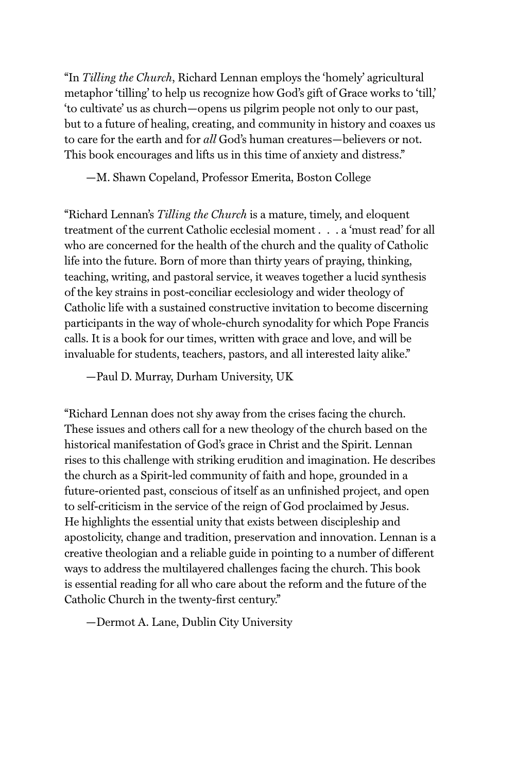"In *Tilling the Church*, Richard Lennan employs the 'homely' agricultural metaphor 'tilling' to help us recognize how God's gift of Grace works to 'till,' 'to cultivate' us as church—opens us pilgrim people not only to our past, but to a future of healing, creating, and community in history and coaxes us to care for the earth and for *all* God's human creatures—believers or not. This book encourages and lifts us in this time of anxiety and distress."

—M. Shawn Copeland, Professor Emerita, Boston College

"Richard Lennan's *Tilling the Church* is a mature, timely, and eloquent treatment of the current Catholic ecclesial moment . . . a 'must read' for all who are concerned for the health of the church and the quality of Catholic life into the future. Born of more than thirty years of praying, thinking, teaching, writing, and pastoral service, it weaves together a lucid synthesis of the key strains in post-conciliar ecclesiology and wider theology of Catholic life with a sustained constructive invitation to become discerning participants in the way of whole-church synodality for which Pope Francis calls. It is a book for our times, written with grace and love, and will be invaluable for students, teachers, pastors, and all interested laity alike."

—Paul D. Murray, Durham University, UK

"Richard Lennan does not shy away from the crises facing the church. These issues and others call for a new theology of the church based on the historical manifestation of God's grace in Christ and the Spirit. Lennan rises to this challenge with striking erudition and imagination. He describes the church as a Spirit-led community of faith and hope, grounded in a future-oriented past, conscious of itself as an unfinished project, and open to self-criticism in the service of the reign of God proclaimed by Jesus. He highlights the essential unity that exists between discipleship and apostolicity, change and tradition, preservation and innovation. Lennan is a creative theologian and a reliable guide in pointing to a number of different ways to address the multilayered challenges facing the church. This book is essential reading for all who care about the reform and the future of the Catholic Church in the twenty-first century."

—Dermot A. Lane, Dublin City University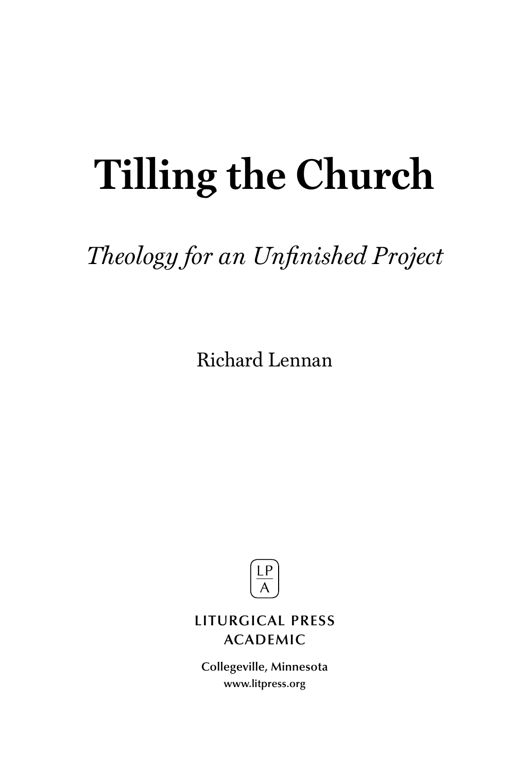# **Tilling the Church**

# *Theology for an Unfinished Project*

Richard Lennan



# **LITURGICAL PRESS ACADEMIC**

**Collegeville, Minnesota www.litpress.org**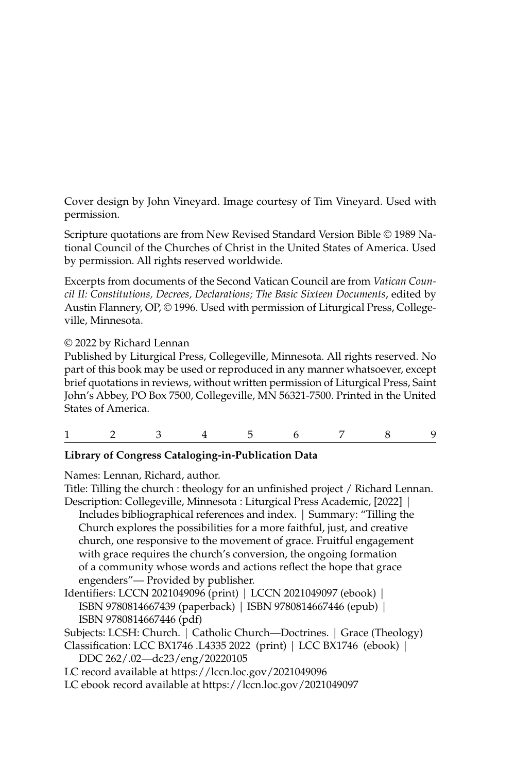Cover design by John Vineyard. Image courtesy of Tim Vineyard. Used with permission.

Scripture quotations are from New Revised Standard Version Bible © 1989 National Council of the Churches of Christ in the United States of America. Used by permission. All rights reserved worldwide.

Excerpts from documents of the Second Vatican Council are from *Vatican Council II: Constitutions, Decrees, Declarations; The Basic Sixteen Documents*, edited by Austin Flannery, OP, © 1996. Used with permission of Liturgical Press, Collegeville, Minnesota.

### © 2022 by Richard Lennan

Published by Liturgical Press, Collegeville, Minnesota. All rights reserved. No part of this book may be used or reproduced in any manner whatsoever, except brief quotations in reviews, without written permission of Liturgical Press, Saint John's Abbey, PO Box 7500, Collegeville, MN 56321-7500. Printed in the United States of America.

| $\begin{array}{cccccccccccccccccc} 1 & 2 & 3 & 4 & 5 & 6 & 7 & 8 & 9 \end{array}$ |  |  |  |  |  |  |  |  |  |
|-----------------------------------------------------------------------------------|--|--|--|--|--|--|--|--|--|
|-----------------------------------------------------------------------------------|--|--|--|--|--|--|--|--|--|

### **Library of Congress Cataloging-in-Publication Data**

Names: Lennan, Richard, author.

Title: Tilling the church : theology for an unfinished project / Richard Lennan. Description: Collegeville, Minnesota : Liturgical Press Academic, [2022] | Includes bibliographical references and index. | Summary: "Tilling the Church explores the possibilities for a more faithful, just, and creative church, one responsive to the movement of grace. Fruitful engagement with grace requires the church's conversion, the ongoing formation of a community whose words and actions reflect the hope that grace engenders"— Provided by publisher.

Identifiers: LCCN 2021049096 (print) | LCCN 2021049097 (ebook) | ISBN 9780814667439 (paperback) | ISBN 9780814667446 (epub) | ISBN 9780814667446 (pdf)

Subjects: LCSH: Church. | Catholic Church—Doctrines. | Grace (Theology)

Classification: LCC BX1746 .L4335 2022 (print) | LCC BX1746 (ebook) | DDC 262/.02—dc23/eng/20220105

LC record available at https://lccn.loc.gov/2021049096

LC ebook record available at https://lccn.loc.gov/2021049097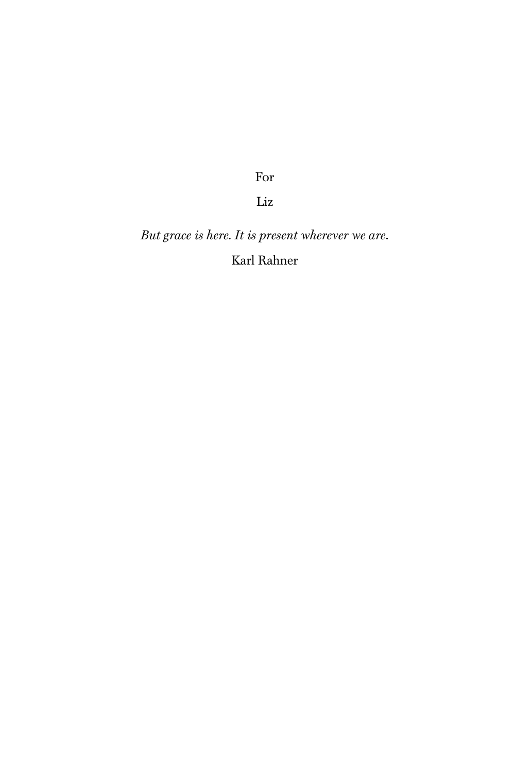For

Liz

*But grace is here. It is present wherever we are*. Karl Rahner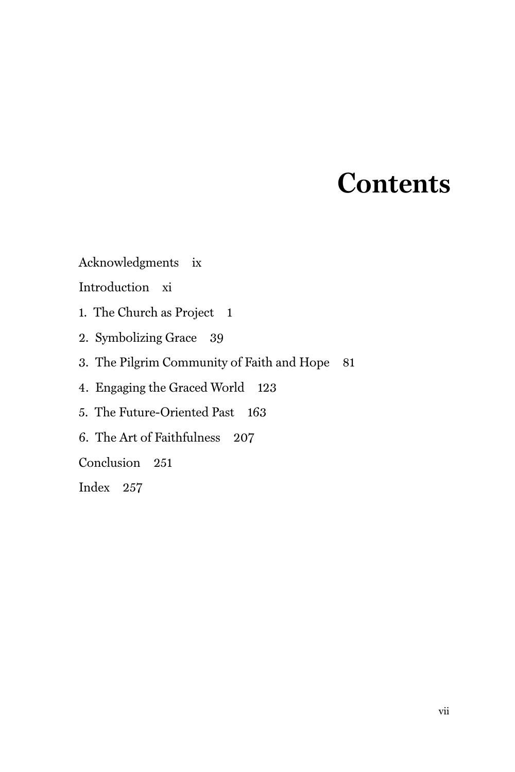# **Contents**

Acknowledgments ix

Introduction xi

1. The Church as Project 1

- 2. Symbolizing Grace 39
- 3. The Pilgrim Community of Faith and Hope 81

4. Engaging the Graced World 123

5. The Future-Oriented Past 163

6. The Art of Faithfulness 207

Conclusion 251

Index 257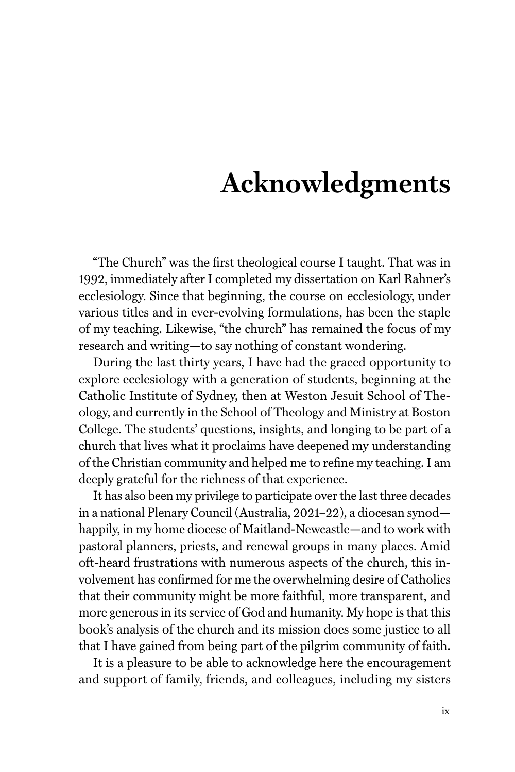# **Acknowledgments**

"The Church" was the first theological course I taught. That was in 1992, immediately after I completed my dissertation on Karl Rahner's ecclesiology. Since that beginning, the course on ecclesiology, under various titles and in ever-evolving formulations, has been the staple of my teaching. Likewise, "the church" has remained the focus of my research and writing—to say nothing of constant wondering.

During the last thirty years, I have had the graced opportunity to explore ecclesiology with a generation of students, beginning at the Catholic Institute of Sydney, then at Weston Jesuit School of Theology, and currently in the School of Theology and Ministry at Boston College. The students' questions, insights, and longing to be part of a church that lives what it proclaims have deepened my understanding of the Christian community and helped me to refine my teaching. I am deeply grateful for the richness of that experience.

It has also been my privilege to participate over the last three decades in a national Plenary Council (Australia, 2021–22), a diocesan synod happily, in my home diocese of Maitland-Newcastle—and to work with pastoral planners, priests, and renewal groups in many places. Amid oft-heard frustrations with numerous aspects of the church, this involvement has confirmed for me the overwhelming desire of Catholics that their community might be more faithful, more transparent, and more generous in its service of God and humanity. My hope is that this book's analysis of the church and its mission does some justice to all that I have gained from being part of the pilgrim community of faith.

It is a pleasure to be able to acknowledge here the encouragement and support of family, friends, and colleagues, including my sisters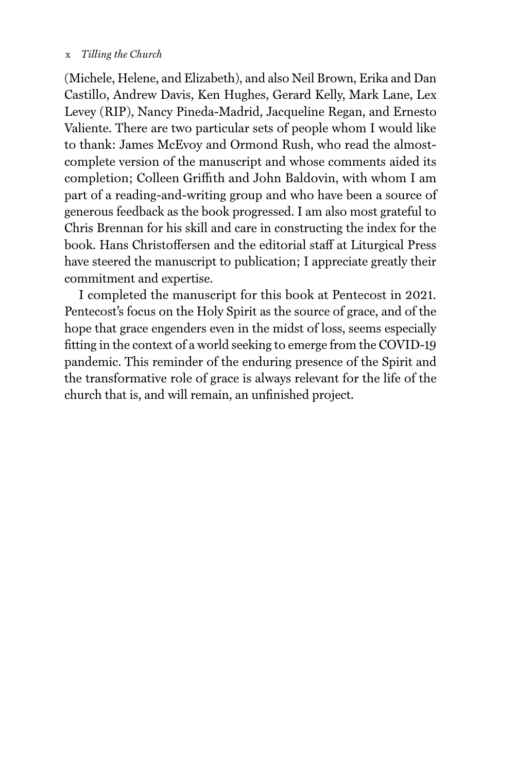### x *Tilling the Church*

(Michele, Helene, and Elizabeth), and also Neil Brown, Erika and Dan Castillo, Andrew Davis, Ken Hughes, Gerard Kelly, Mark Lane, Lex Levey (RIP), Nancy Pineda-Madrid, Jacqueline Regan, and Ernesto Valiente. There are two particular sets of people whom I would like to thank: James McEvoy and Ormond Rush, who read the almostcomplete version of the manuscript and whose comments aided its completion; Colleen Griffith and John Baldovin, with whom I am part of a reading-and-writing group and who have been a source of generous feedback as the book progressed. I am also most grateful to Chris Brennan for his skill and care in constructing the index for the book. Hans Christoffersen and the editorial staff at Liturgical Press have steered the manuscript to publication; I appreciate greatly their commitment and expertise.

I completed the manuscript for this book at Pentecost in 2021. Pentecost's focus on the Holy Spirit as the source of grace, and of the hope that grace engenders even in the midst of loss, seems especially fitting in the context of a world seeking to emerge from the COVID-19 pandemic. This reminder of the enduring presence of the Spirit and the transformative role of grace is always relevant for the life of the church that is, and will remain, an unfinished project.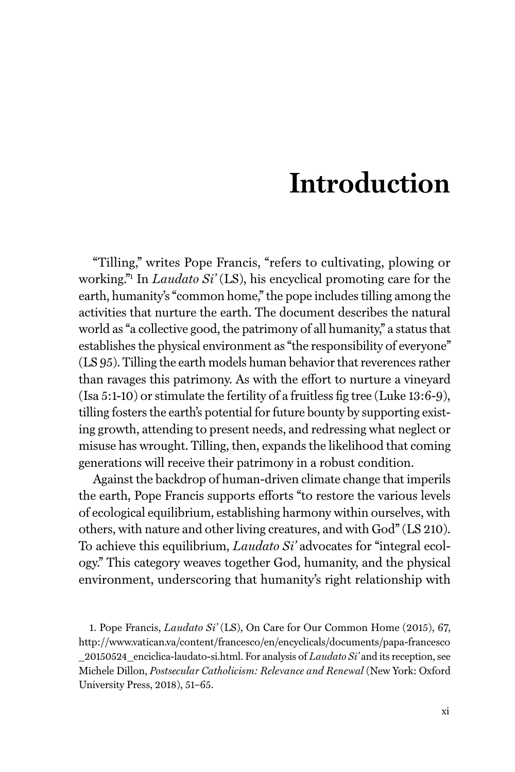# **Introduction**

"Tilling," writes Pope Francis, "refers to cultivating, plowing or working."1 In *Laudato Si'* (LS), his encyclical promoting care for the earth, humanity's "common home," the pope includes tilling among the activities that nurture the earth. The document describes the natural world as "a collective good, the patrimony of all humanity," a status that establishes the physical environment as "the responsibility of everyone" (LS 95). Tilling the earth models human behavior that reverences rather than ravages this patrimony. As with the effort to nurture a vineyard (Isa 5:1-10) or stimulate the fertility of a fruitless fig tree (Luke 13:6-9), tilling fosters the earth's potential for future bounty by supporting existing growth, attending to present needs, and redressing what neglect or misuse has wrought. Tilling, then, expands the likelihood that coming generations will receive their patrimony in a robust condition.

Against the backdrop of human-driven climate change that imperils the earth, Pope Francis supports efforts "to restore the various levels of ecological equilibrium, establishing harmony within ourselves, with others, with nature and other living creatures, and with God" (LS 210). To achieve this equilibrium, *Laudato Si'* advocates for "integral ecology." This category weaves together God, humanity, and the physical environment, underscoring that humanity's right relationship with

1. Pope Francis, *Laudato Si'* (LS), On Care for Our Common Home (2015), 67, http://www.vatican.va/content/francesco/en/encyclicals/documents/papa-francesco \_20150524\_enciclica-laudato-si.html. For analysis of *Laudato Si'* and its reception, see Michele Dillon, *Postsecular Catholicism: Relevance and Renewal* (New York: Oxford University Press, 2018), 51–65.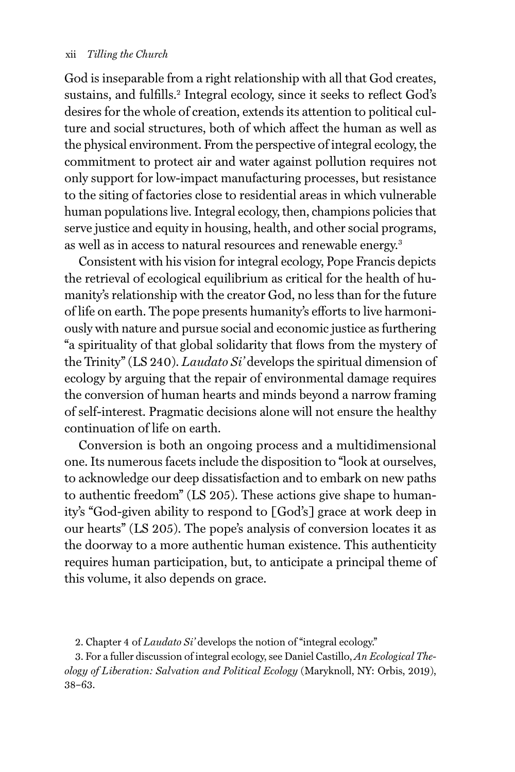God is inseparable from a right relationship with all that God creates, sustains, and fulfills.<sup>2</sup> Integral ecology, since it seeks to reflect God's desires for the whole of creation, extends its attention to political culture and social structures, both of which affect the human as well as the physical environment. From the perspective of integral ecology, the commitment to protect air and water against pollution requires not only support for low-impact manufacturing processes, but resistance to the siting of factories close to residential areas in which vulnerable human populations live. Integral ecology, then, champions policies that serve justice and equity in housing, health, and other social programs, as well as in access to natural resources and renewable energy.<sup>3</sup>

Consistent with his vision for integral ecology, Pope Francis depicts the retrieval of ecological equilibrium as critical for the health of humanity's relationship with the creator God, no less than for the future of life on earth. The pope presents humanity's efforts to live harmoniously with nature and pursue social and economic justice as furthering "a spirituality of that global solidarity that flows from the mystery of the Trinity" (LS 240). *Laudato Si'* develops the spiritual dimension of ecology by arguing that the repair of environmental damage requires the conversion of human hearts and minds beyond a narrow framing of self-interest. Pragmatic decisions alone will not ensure the healthy continuation of life on earth.

Conversion is both an ongoing process and a multidimensional one. Its numerous facets include the disposition to "look at ourselves, to acknowledge our deep dissatisfaction and to embark on new paths to authentic freedom" (LS 205). These actions give shape to humanity's "God-given ability to respond to [God's] grace at work deep in our hearts" (LS 205). The pope's analysis of conversion locates it as the doorway to a more authentic human existence. This authenticity requires human participation, but, to anticipate a principal theme of this volume, it also depends on grace.

3. For a fuller discussion of integral ecology, see Daniel Castillo, *An Ecological Theology of Liberation: Salvation and Political Ecology* (Maryknoll, NY: Orbis, 2019), 38–63.

<sup>2.</sup> Chapter 4 of *Laudato Si'* develops the notion of "integral ecology."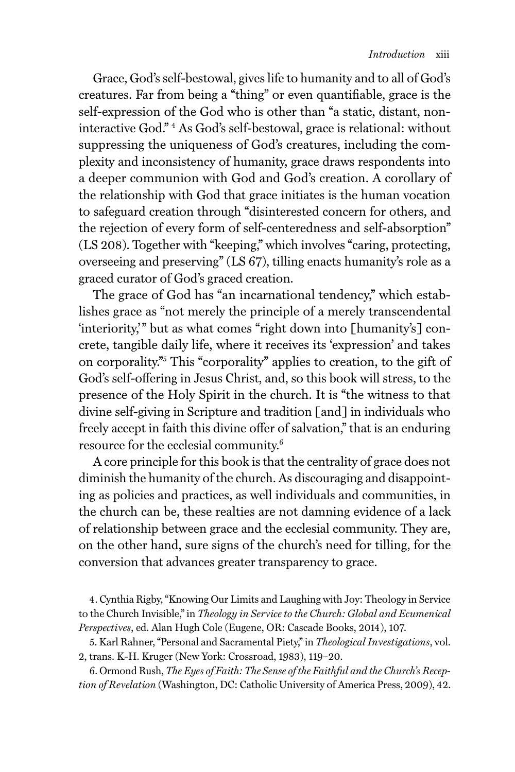Grace, God's self-bestowal, gives life to humanity and to all of God's creatures. Far from being a "thing" or even quantifiable, grace is the self-expression of the God who is other than "a static, distant, noninteractive God." 4 As God's self-bestowal, grace is relational: without suppressing the uniqueness of God's creatures, including the complexity and inconsistency of humanity, grace draws respondents into a deeper communion with God and God's creation. A corollary of the relationship with God that grace initiates is the human vocation to safeguard creation through "disinterested concern for others, and the rejection of every form of self-centeredness and self-absorption" (LS 208). Together with "keeping," which involves "caring, protecting, overseeing and preserving" (LS 67), tilling enacts humanity's role as a graced curator of God's graced creation.

The grace of God has "an incarnational tendency," which establishes grace as "not merely the principle of a merely transcendental 'interiority,'" but as what comes "right down into [humanity's] concrete, tangible daily life, where it receives its 'expression' and takes on corporality."5 This "corporality" applies to creation, to the gift of God's self-offering in Jesus Christ, and, so this book will stress, to the presence of the Holy Spirit in the church. It is "the witness to that divine self-giving in Scripture and tradition [and] in individuals who freely accept in faith this divine offer of salvation," that is an enduring resource for the ecclesial community.6

A core principle for this book is that the centrality of grace does not diminish the humanity of the church. As discouraging and disappointing as policies and practices, as well individuals and communities, in the church can be, these realties are not damning evidence of a lack of relationship between grace and the ecclesial community. They are, on the other hand, sure signs of the church's need for tilling, for the conversion that advances greater transparency to grace.

4. Cynthia Rigby, "Knowing Our Limits and Laughing with Joy: Theology in Service to the Church Invisible," in *Theology in Service to the Church: Global and Ecumenical Perspectives*, ed. Alan Hugh Cole (Eugene, OR: Cascade Books, 2014), 107.

5. Karl Rahner, "Personal and Sacramental Piety," in *Theological Investigations*, vol. 2, trans. K-H. Kruger (New York: Crossroad, 1983), 119–20.

6. Ormond Rush, *The Eyes of Faith: The Sense of the Faithful and the Church's Reception of Revelation* (Washington, DC: Catholic University of America Press, 2009), 42.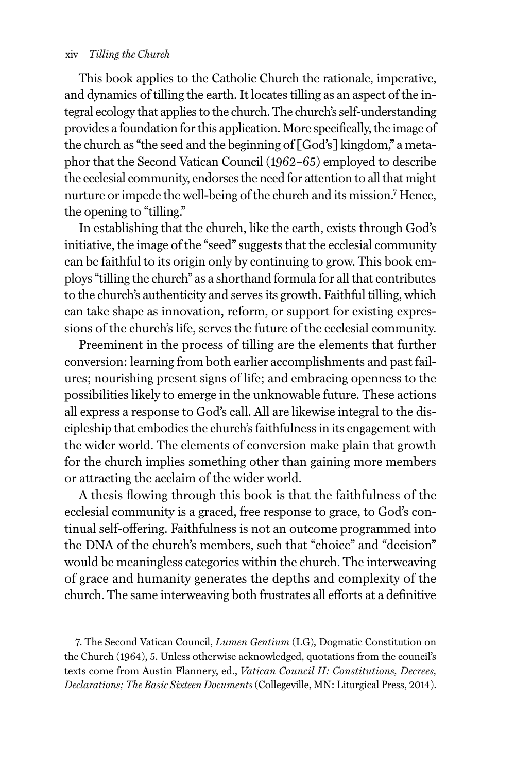#### xiv *Tilling the Church*

This book applies to the Catholic Church the rationale, imperative, and dynamics of tilling the earth. It locates tilling as an aspect of the integral ecology that applies to the church. The church's self-understanding provides a foundation for this application. More specifically, the image of the church as "the seed and the beginning of [God's] kingdom," a metaphor that the Second Vatican Council (1962–65) employed to describe the ecclesial community, endorses the need for attention to all that might nurture or impede the well-being of the church and its mission.7 Hence, the opening to "tilling."

In establishing that the church, like the earth, exists through God's initiative, the image of the "seed" suggests that the ecclesial community can be faithful to its origin only by continuing to grow. This book employs "tilling the church" as a shorthand formula for all that contributes to the church's authenticity and serves its growth. Faithful tilling, which can take shape as innovation, reform, or support for existing expressions of the church's life, serves the future of the ecclesial community.

Preeminent in the process of tilling are the elements that further conversion: learning from both earlier accomplishments and past failures; nourishing present signs of life; and embracing openness to the possibilities likely to emerge in the unknowable future. These actions all express a response to God's call. All are likewise integral to the discipleship that embodies the church's faithfulness in its engagement with the wider world. The elements of conversion make plain that growth for the church implies something other than gaining more members or attracting the acclaim of the wider world.

A thesis flowing through this book is that the faithfulness of the ecclesial community is a graced, free response to grace, to God's continual self-offering. Faithfulness is not an outcome programmed into the DNA of the church's members, such that "choice" and "decision" would be meaningless categories within the church. The interweaving of grace and humanity generates the depths and complexity of the church. The same interweaving both frustrates all efforts at a definitive

7. The Second Vatican Council, *Lumen Gentium* (LG), Dogmatic Constitution on the Church (1964), 5. Unless otherwise acknowledged, quotations from the council's texts come from Austin Flannery, ed., *Vatican Council II: Constitutions, Decrees, Declarations; The Basic Sixteen Documents* (Collegeville, MN: Liturgical Press, 2014).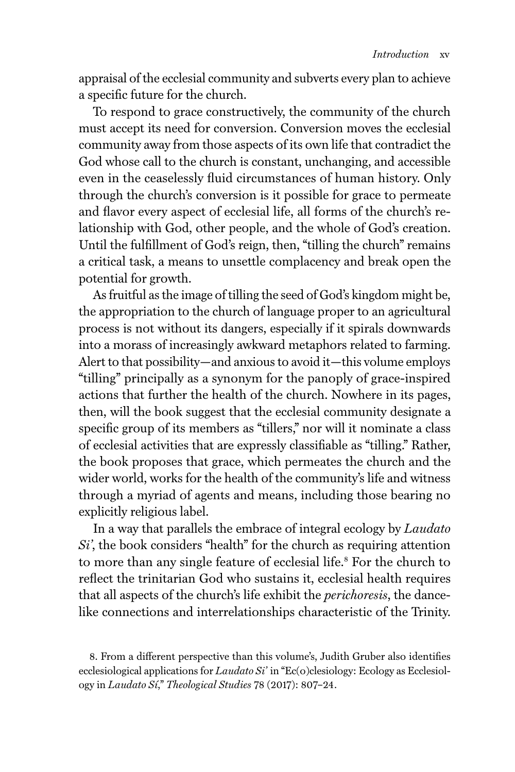appraisal of the ecclesial community and subverts every plan to achieve a specific future for the church.

To respond to grace constructively, the community of the church must accept its need for conversion. Conversion moves the ecclesial community away from those aspects of its own life that contradict the God whose call to the church is constant, unchanging, and accessible even in the ceaselessly fluid circumstances of human history. Only through the church's conversion is it possible for grace to permeate and flavor every aspect of ecclesial life, all forms of the church's relationship with God, other people, and the whole of God's creation. Until the fulfillment of God's reign, then, "tilling the church" remains a critical task, a means to unsettle complacency and break open the potential for growth.

As fruitful as the image of tilling the seed of God's kingdom might be, the appropriation to the church of language proper to an agricultural process is not without its dangers, especially if it spirals downwards into a morass of increasingly awkward metaphors related to farming. Alert to that possibility—and anxious to avoid it—this volume employs "tilling" principally as a synonym for the panoply of grace-inspired actions that further the health of the church. Nowhere in its pages, then, will the book suggest that the ecclesial community designate a specific group of its members as "tillers," nor will it nominate a class of ecclesial activities that are expressly classifiable as "tilling." Rather, the book proposes that grace, which permeates the church and the wider world, works for the health of the community's life and witness through a myriad of agents and means, including those bearing no explicitly religious label.

In a way that parallels the embrace of integral ecology by *Laudato Si'*, the book considers "health" for the church as requiring attention to more than any single feature of ecclesial life.<sup>8</sup> For the church to reflect the trinitarian God who sustains it, ecclesial health requires that all aspects of the church's life exhibit the *perichoresis*, the dancelike connections and interrelationships characteristic of the Trinity.

<sup>8.</sup> From a different perspective than this volume's, Judith Gruber also identifies ecclesiological applications for *Laudato Si'* in "Ec(o)clesiology: Ecology as Ecclesiology in *Laudato Sí*," *Theological Studies* 78 (2017): 807–24.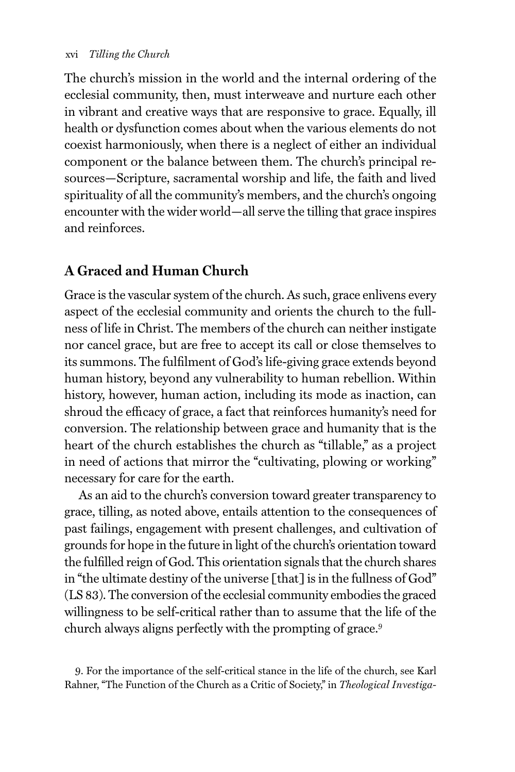The church's mission in the world and the internal ordering of the ecclesial community, then, must interweave and nurture each other in vibrant and creative ways that are responsive to grace. Equally, ill health or dysfunction comes about when the various elements do not coexist harmoniously, when there is a neglect of either an individual component or the balance between them. The church's principal resources—Scripture, sacramental worship and life, the faith and lived spirituality of all the community's members, and the church's ongoing encounter with the wider world—all serve the tilling that grace inspires and reinforces.

# **A Graced and Human Church**

Grace is the vascular system of the church. As such, grace enlivens every aspect of the ecclesial community and orients the church to the fullness of life in Christ. The members of the church can neither instigate nor cancel grace, but are free to accept its call or close themselves to its summons. The fulfilment of God's life-giving grace extends beyond human history, beyond any vulnerability to human rebellion. Within history, however, human action, including its mode as inaction, can shroud the efficacy of grace, a fact that reinforces humanity's need for conversion. The relationship between grace and humanity that is the heart of the church establishes the church as "tillable," as a project in need of actions that mirror the "cultivating, plowing or working" necessary for care for the earth.

As an aid to the church's conversion toward greater transparency to grace, tilling, as noted above, entails attention to the consequences of past failings, engagement with present challenges, and cultivation of grounds for hope in the future in light of the church's orientation toward the fulfilled reign of God. This orientation signals that the church shares in "the ultimate destiny of the universe [that] is in the fullness of God" (LS 83). The conversion of the ecclesial community embodies the graced willingness to be self-critical rather than to assume that the life of the church always aligns perfectly with the prompting of grace.<sup>9</sup>

9. For the importance of the self-critical stance in the life of the church, see Karl Rahner, "The Function of the Church as a Critic of Society," in *Theological Investiga-*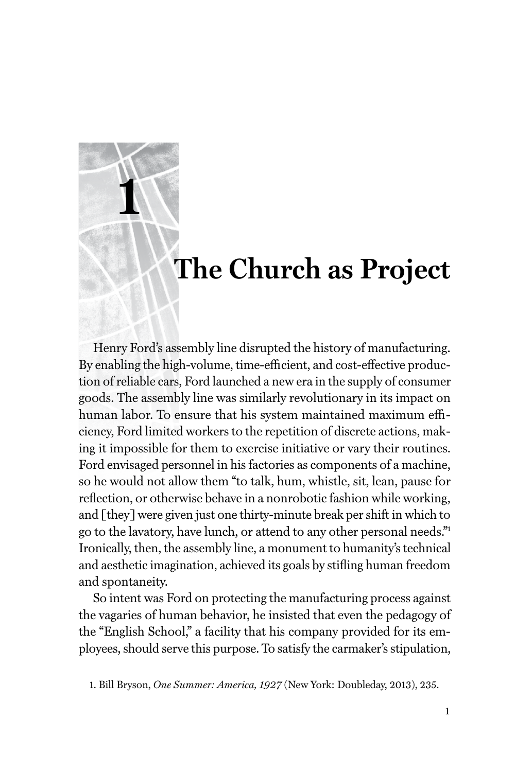# **The Church as Project**

Henry Ford's assembly line disrupted the history of manufacturing. By enabling the high-volume, time-efficient, and cost-effective production of reliable cars, Ford launched a new era in the supply of consumer goods. The assembly line was similarly revolutionary in its impact on human labor. To ensure that his system maintained maximum efficiency, Ford limited workers to the repetition of discrete actions, making it impossible for them to exercise initiative or vary their routines. Ford envisaged personnel in his factories as components of a machine, so he would not allow them "to talk, hum, whistle, sit, lean, pause for reflection, or otherwise behave in a nonrobotic fashion while working, and [they] were given just one thirty-minute break per shift in which to go to the lavatory, have lunch, or attend to any other personal needs."1 Ironically, then, the assembly line, a monument to humanity's technical and aesthetic imagination, achieved its goals by stifling human freedom and spontaneity.

**1**

So intent was Ford on protecting the manufacturing process against the vagaries of human behavior, he insisted that even the pedagogy of the "English School," a facility that his company provided for its employees, should serve this purpose. To satisfy the carmaker's stipulation,

<sup>1.</sup> Bill Bryson, *One Summer: America, 1927* (New York: Doubleday, 2013), 235.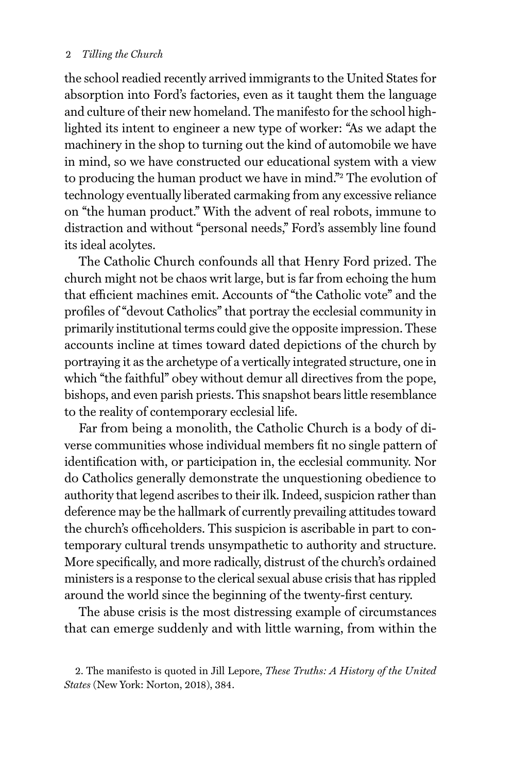### 2 *Tilling the Church*

the school readied recently arrived immigrants to the United States for absorption into Ford's factories, even as it taught them the language and culture of their new homeland. The manifesto for the school highlighted its intent to engineer a new type of worker: "As we adapt the machinery in the shop to turning out the kind of automobile we have in mind, so we have constructed our educational system with a view to producing the human product we have in mind."<sup>2</sup> The evolution of technology eventually liberated carmaking from any excessive reliance on "the human product." With the advent of real robots, immune to distraction and without "personal needs," Ford's assembly line found its ideal acolytes.

The Catholic Church confounds all that Henry Ford prized. The church might not be chaos writ large, but is far from echoing the hum that efficient machines emit. Accounts of "the Catholic vote" and the profiles of "devout Catholics" that portray the ecclesial community in primarily institutional terms could give the opposite impression. These accounts incline at times toward dated depictions of the church by portraying it as the archetype of a vertically integrated structure, one in which "the faithful" obey without demur all directives from the pope, bishops, and even parish priests. This snapshot bears little resemblance to the reality of contemporary ecclesial life.

Far from being a monolith, the Catholic Church is a body of diverse communities whose individual members fit no single pattern of identification with, or participation in, the ecclesial community. Nor do Catholics generally demonstrate the unquestioning obedience to authority that legend ascribes to their ilk. Indeed, suspicion rather than deference may be the hallmark of currently prevailing attitudes toward the church's officeholders. This suspicion is ascribable in part to contemporary cultural trends unsympathetic to authority and structure. More specifically, and more radically, distrust of the church's ordained ministers is a response to the clerical sexual abuse crisis that has rippled around the world since the beginning of the twenty-first century.

The abuse crisis is the most distressing example of circumstances that can emerge suddenly and with little warning, from within the

<sup>2.</sup> The manifesto is quoted in Jill Lepore, *These Truths: A History of the United States* (New York: Norton, 2018), 384.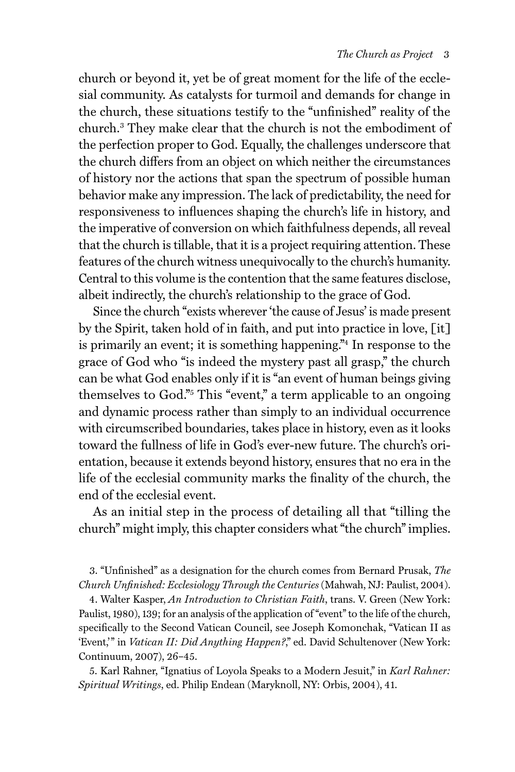church or beyond it, yet be of great moment for the life of the ecclesial community. As catalysts for turmoil and demands for change in the church, these situations testify to the "unfinished" reality of the church.3 They make clear that the church is not the embodiment of the perfection proper to God. Equally, the challenges underscore that the church differs from an object on which neither the circumstances of history nor the actions that span the spectrum of possible human behavior make any impression. The lack of predictability, the need for responsiveness to influences shaping the church's life in history, and the imperative of conversion on which faithfulness depends, all reveal that the church is tillable, that it is a project requiring attention. These features of the church witness unequivocally to the church's humanity. Central to this volume is the contention that the same features disclose, albeit indirectly, the church's relationship to the grace of God.

Since the church "exists wherever 'the cause of Jesus' is made present by the Spirit, taken hold of in faith, and put into practice in love, [it] is primarily an event; it is something happening."4 In response to the grace of God who "is indeed the mystery past all grasp," the church can be what God enables only if it is "an event of human beings giving themselves to God."5 This "event," a term applicable to an ongoing and dynamic process rather than simply to an individual occurrence with circumscribed boundaries, takes place in history, even as it looks toward the fullness of life in God's ever-new future. The church's orientation, because it extends beyond history, ensures that no era in the life of the ecclesial community marks the finality of the church, the end of the ecclesial event.

As an initial step in the process of detailing all that "tilling the church" might imply, this chapter considers what "the church" implies.

3. "Unfinished" as a designation for the church comes from Bernard Prusak, *The Church Unfinished: Ecclesiology Through the Centuries* (Mahwah, NJ: Paulist, 2004).

4. Walter Kasper, *An Introduction to Christian Faith*, trans. V. Green (New York: Paulist, 1980), 139; for an analysis of the application of "event" to the life of the church, specifically to the Second Vatican Council, see Joseph Komonchak, "Vatican II as 'Event,'" in *Vatican II: Did Anything Happen?*," ed. David Schultenover (New York: Continuum, 2007), 26–45.

5. Karl Rahner, "Ignatius of Loyola Speaks to a Modern Jesuit," in *Karl Rahner: Spiritual Writings*, ed. Philip Endean (Maryknoll, NY: Orbis, 2004), 41.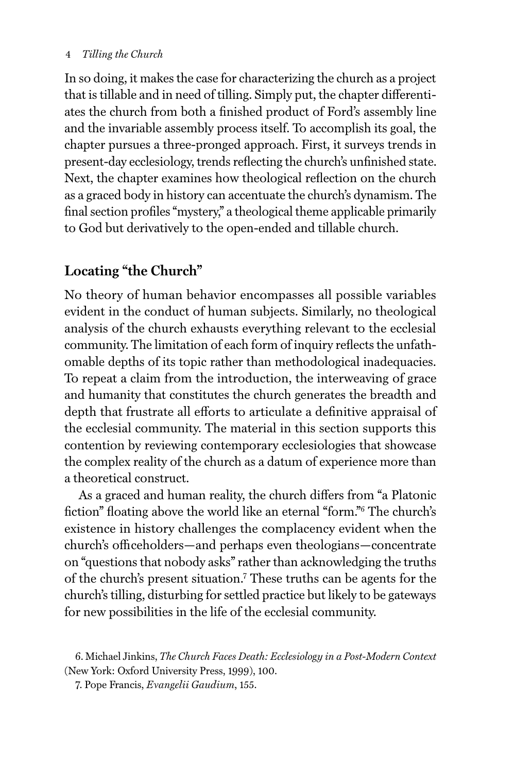## 4 *Tilling the Church*

In so doing, it makes the case for characterizing the church as a project that is tillable and in need of tilling. Simply put, the chapter differentiates the church from both a finished product of Ford's assembly line and the invariable assembly process itself. To accomplish its goal, the chapter pursues a three-pronged approach. First, it surveys trends in present-day ecclesiology, trends reflecting the church's unfinished state. Next, the chapter examines how theological reflection on the church as a graced body in history can accentuate the church's dynamism. The final section profiles "mystery," a theological theme applicable primarily to God but derivatively to the open-ended and tillable church.

# **Locating "the Church"**

No theory of human behavior encompasses all possible variables evident in the conduct of human subjects. Similarly, no theological analysis of the church exhausts everything relevant to the ecclesial community. The limitation of each form of inquiry reflects the unfathomable depths of its topic rather than methodological inadequacies. To repeat a claim from the introduction, the interweaving of grace and humanity that constitutes the church generates the breadth and depth that frustrate all efforts to articulate a definitive appraisal of the ecclesial community. The material in this section supports this contention by reviewing contemporary ecclesiologies that showcase the complex reality of the church as a datum of experience more than a theoretical construct.

As a graced and human reality, the church differs from "a Platonic fiction" floating above the world like an eternal "form."6 The church's existence in history challenges the complacency evident when the church's officeholders—and perhaps even theologians—concentrate on "questions that nobody asks" rather than acknowledging the truths of the church's present situation.7 These truths can be agents for the church's tilling, disturbing for settled practice but likely to be gateways for new possibilities in the life of the ecclesial community.

<sup>6.</sup> Michael Jinkins, *The Church Faces Death: Ecclesiology in a Post-Modern Context*  (New York: Oxford University Press, 1999), 100.

<sup>7.</sup> Pope Francis, *Evangelii Gaudium*, 155.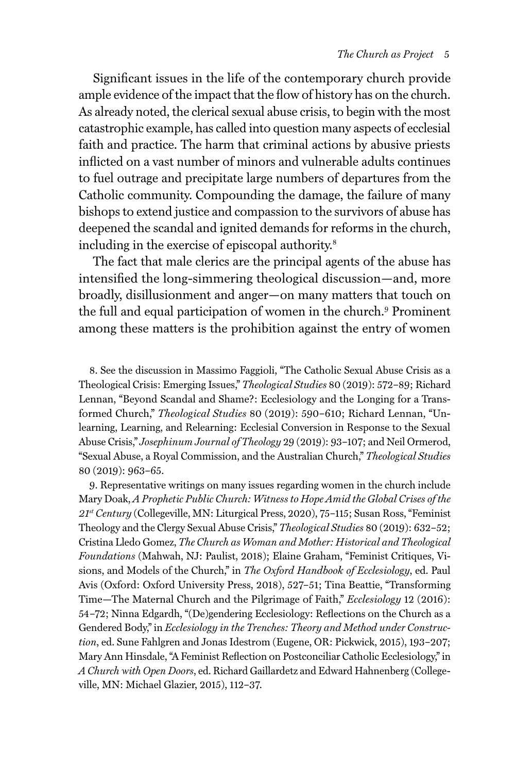Significant issues in the life of the contemporary church provide ample evidence of the impact that the flow of history has on the church. As already noted, the clerical sexual abuse crisis, to begin with the most catastrophic example, has called into question many aspects of ecclesial faith and practice. The harm that criminal actions by abusive priests inflicted on a vast number of minors and vulnerable adults continues to fuel outrage and precipitate large numbers of departures from the Catholic community. Compounding the damage, the failure of many bishops to extend justice and compassion to the survivors of abuse has deepened the scandal and ignited demands for reforms in the church, including in the exercise of episcopal authority.<sup>8</sup>

The fact that male clerics are the principal agents of the abuse has intensified the long-simmering theological discussion—and, more broadly, disillusionment and anger—on many matters that touch on the full and equal participation of women in the church.<sup>9</sup> Prominent among these matters is the prohibition against the entry of women

8. See the discussion in Massimo Faggioli, "The Catholic Sexual Abuse Crisis as a Theological Crisis: Emerging Issues," *Theological Studies* 80 (2019): 572–89; Richard Lennan, "Beyond Scandal and Shame?: Ecclesiology and the Longing for a Transformed Church," *Theological Studies* 80 (2019): 590–610; Richard Lennan, "Unlearning, Learning, and Relearning: Ecclesial Conversion in Response to the Sexual Abuse Crisis," *Josephinum Journal of Theology* 29 (2019): 93–107; and Neil Ormerod, "Sexual Abuse, a Royal Commission, and the Australian Church," *Theological Studies* 80 (2019): 963–65.

9. Representative writings on many issues regarding women in the church include Mary Doak, *A Prophetic Public Church: Witness to Hope Amid the Global Crises of the 21st Century* (Collegeville, MN: Liturgical Press, 2020), 75–115; Susan Ross, "Feminist Theology and the Clergy Sexual Abuse Crisis," *Theological Studies* 80 (2019): 632–52; Cristina Lledo Gomez, *The Church as Woman and Mother: Historical and Theological Foundations* (Mahwah, NJ: Paulist, 2018); Elaine Graham, "Feminist Critiques, Visions, and Models of the Church," in *The Oxford Handbook of Ecclesiology*, ed. Paul Avis (Oxford: Oxford University Press, 2018), 527–51; Tina Beattie, "Transforming Time—The Maternal Church and the Pilgrimage of Faith," *Ecclesiology* 12 (2016): 54–72; Ninna Edgardh, "(De)gendering Ecclesiology: Reflections on the Church as a Gendered Body," in *Ecclesiology in the Trenches: Theory and Method under Construction*, ed. Sune Fahlgren and Jonas Idestrom (Eugene, OR: Pickwick, 2015), 193–207; Mary Ann Hinsdale, "A Feminist Reflection on Postconciliar Catholic Ecclesiology," in *A Church with Open Doors*, ed. Richard Gaillardetz and Edward Hahnenberg (Collegeville, MN: Michael Glazier, 2015), 112–37.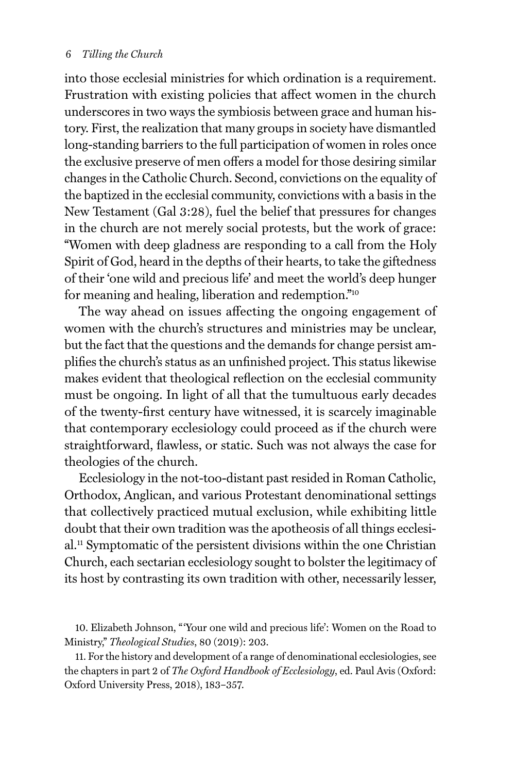### 6 *Tilling the Church*

into those ecclesial ministries for which ordination is a requirement. Frustration with existing policies that affect women in the church underscores in two ways the symbiosis between grace and human history. First, the realization that many groups in society have dismantled long-standing barriers to the full participation of women in roles once the exclusive preserve of men offers a model for those desiring similar changes in the Catholic Church. Second, convictions on the equality of the baptized in the ecclesial community, convictions with a basis in the New Testament (Gal 3:28), fuel the belief that pressures for changes in the church are not merely social protests, but the work of grace: "Women with deep gladness are responding to a call from the Holy Spirit of God, heard in the depths of their hearts, to take the giftedness of their 'one wild and precious life' and meet the world's deep hunger for meaning and healing, liberation and redemption."10

The way ahead on issues affecting the ongoing engagement of women with the church's structures and ministries may be unclear, but the fact that the questions and the demands for change persist amplifies the church's status as an unfinished project. This status likewise makes evident that theological reflection on the ecclesial community must be ongoing. In light of all that the tumultuous early decades of the twenty-first century have witnessed, it is scarcely imaginable that contemporary ecclesiology could proceed as if the church were straightforward, flawless, or static. Such was not always the case for theologies of the church.

Ecclesiology in the not-too-distant past resided in Roman Catholic, Orthodox, Anglican, and various Protestant denominational settings that collectively practiced mutual exclusion, while exhibiting little doubt that their own tradition was the apotheosis of all things ecclesial.11 Symptomatic of the persistent divisions within the one Christian Church, each sectarian ecclesiology sought to bolster the legitimacy of its host by contrasting its own tradition with other, necessarily lesser,

10. Elizabeth Johnson, "'Your one wild and precious life': Women on the Road to Ministry," *Theological Studies*, 80 (2019): 203.

11. For the history and development of a range of denominational ecclesiologies, see the chapters in part 2 of *The Oxford Handbook of Ecclesiology*, ed. Paul Avis (Oxford: Oxford University Press, 2018), 183–357.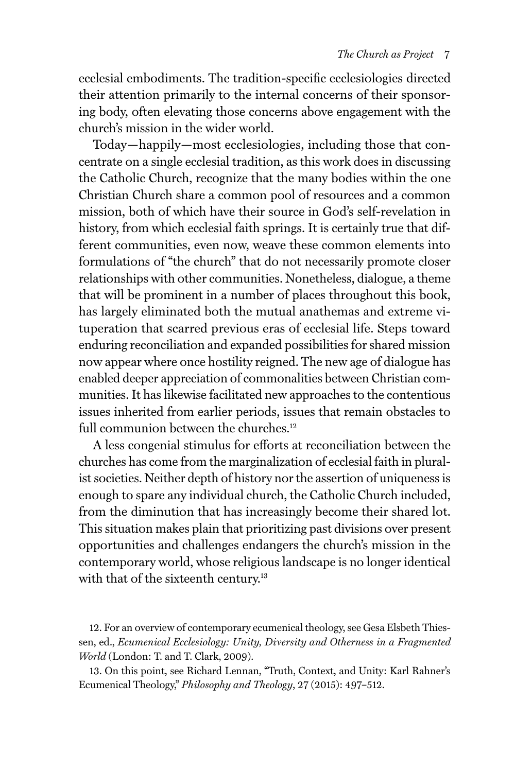ecclesial embodiments. The tradition-specific ecclesiologies directed their attention primarily to the internal concerns of their sponsoring body, often elevating those concerns above engagement with the church's mission in the wider world.

Today—happily—most ecclesiologies, including those that concentrate on a single ecclesial tradition, as this work does in discussing the Catholic Church, recognize that the many bodies within the one Christian Church share a common pool of resources and a common mission, both of which have their source in God's self-revelation in history, from which ecclesial faith springs. It is certainly true that different communities, even now, weave these common elements into formulations of "the church" that do not necessarily promote closer relationships with other communities. Nonetheless, dialogue, a theme that will be prominent in a number of places throughout this book, has largely eliminated both the mutual anathemas and extreme vituperation that scarred previous eras of ecclesial life. Steps toward enduring reconciliation and expanded possibilities for shared mission now appear where once hostility reigned. The new age of dialogue has enabled deeper appreciation of commonalities between Christian communities. It has likewise facilitated new approaches to the contentious issues inherited from earlier periods, issues that remain obstacles to full communion between the churches.<sup>12</sup>

A less congenial stimulus for efforts at reconciliation between the churches has come from the marginalization of ecclesial faith in pluralist societies. Neither depth of history nor the assertion of uniqueness is enough to spare any individual church, the Catholic Church included, from the diminution that has increasingly become their shared lot. This situation makes plain that prioritizing past divisions over present opportunities and challenges endangers the church's mission in the contemporary world, whose religious landscape is no longer identical with that of the sixteenth century.<sup>13</sup>

13. On this point, see Richard Lennan, "Truth, Context, and Unity: Karl Rahner's Ecumenical Theology," *Philosophy and Theology*, 27 (2015): 497–512.

<sup>12.</sup> For an overview of contemporary ecumenical theology, see Gesa Elsbeth Thiessen, ed., *Ecumenical Ecclesiology: Unity, Diversity and Otherness in a Fragmented World* (London: T. and T. Clark, 2009).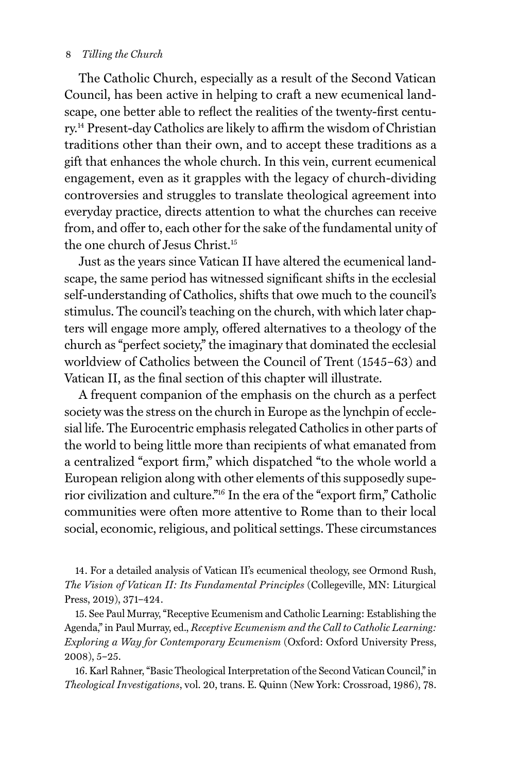#### 8 *Tilling the Church*

The Catholic Church, especially as a result of the Second Vatican Council, has been active in helping to craft a new ecumenical landscape, one better able to reflect the realities of the twenty-first century.14 Present-day Catholics are likely to affirm the wisdom of Christian traditions other than their own, and to accept these traditions as a gift that enhances the whole church. In this vein, current ecumenical engagement, even as it grapples with the legacy of church-dividing controversies and struggles to translate theological agreement into everyday practice, directs attention to what the churches can receive from, and offer to, each other for the sake of the fundamental unity of the one church of Jesus Christ.15

Just as the years since Vatican II have altered the ecumenical landscape, the same period has witnessed significant shifts in the ecclesial self-understanding of Catholics, shifts that owe much to the council's stimulus. The council's teaching on the church, with which later chapters will engage more amply, offered alternatives to a theology of the church as "perfect society," the imaginary that dominated the ecclesial worldview of Catholics between the Council of Trent (1545–63) and Vatican II, as the final section of this chapter will illustrate.

A frequent companion of the emphasis on the church as a perfect society was the stress on the church in Europe as the lynchpin of ecclesial life. The Eurocentric emphasis relegated Catholics in other parts of the world to being little more than recipients of what emanated from a centralized "export firm," which dispatched "to the whole world a European religion along with other elements of this supposedly superior civilization and culture."16 In the era of the "export firm," Catholic communities were often more attentive to Rome than to their local social, economic, religious, and political settings. These circumstances

14. For a detailed analysis of Vatican II's ecumenical theology, see Ormond Rush, *The Vision of Vatican II: Its Fundamental Principles* (Collegeville, MN: Liturgical Press, 2019), 371–424.

15. See Paul Murray, "Receptive Ecumenism and Catholic Learning: Establishing the Agenda," in Paul Murray, ed., *Receptive Ecumenism and the Call to Catholic Learning: Exploring a Way for Contemporary Ecumenism* (Oxford: Oxford University Press, 2008), 5–25.

16. Karl Rahner, "Basic Theological Interpretation of the Second Vatican Council," in *Theological Investigations*, vol. 20, trans. E. Quinn (New York: Crossroad, 1986), 78.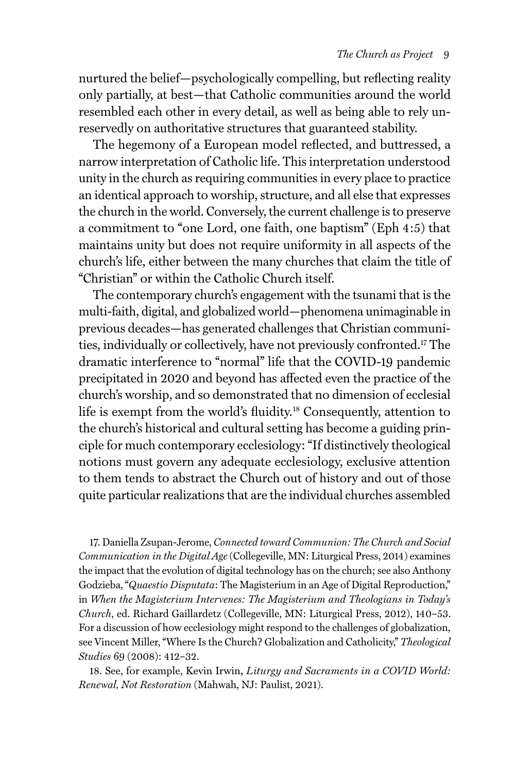nurtured the belief—psychologically compelling, but reflecting reality only partially, at best—that Catholic communities around the world resembled each other in every detail, as well as being able to rely unreservedly on authoritative structures that guaranteed stability.

The hegemony of a European model reflected, and buttressed, a narrow interpretation of Catholic life. This interpretation understood unity in the church as requiring communities in every place to practice an identical approach to worship, structure, and all else that expresses the church in the world. Conversely, the current challenge is to preserve a commitment to "one Lord, one faith, one baptism" (Eph 4:5) that maintains unity but does not require uniformity in all aspects of the church's life, either between the many churches that claim the title of "Christian" or within the Catholic Church itself.

The contemporary church's engagement with the tsunami that is the multi-faith, digital, and globalized world—phenomena unimaginable in previous decades—has generated challenges that Christian communities, individually or collectively, have not previously confronted.17 The dramatic interference to "normal" life that the COVID-19 pandemic precipitated in 2020 and beyond has affected even the practice of the church's worship, and so demonstrated that no dimension of ecclesial life is exempt from the world's fluidity.<sup>18</sup> Consequently, attention to the church's historical and cultural setting has become a guiding principle for much contemporary ecclesiology: "If distinctively theological notions must govern any adequate ecclesiology, exclusive attention to them tends to abstract the Church out of history and out of those quite particular realizations that are the individual churches assembled

17. Daniella Zsupan-Jerome, *Connected toward Communion: The Church and Social Communication in the Digital Age* (Collegeville, MN: Liturgical Press, 2014) examines the impact that the evolution of digital technology has on the church; see also Anthony Godzieba, "*Quaestio Disputata*: The Magisterium in an Age of Digital Reproduction," in *When the Magisterium Intervenes: The Magisterium and Theologians in Today's Church*, ed. Richard Gaillardetz (Collegeville, MN: Liturgical Press, 2012), 140–53. For a discussion of how ecclesiology might respond to the challenges of globalization, see Vincent Miller, "Where Is the Church? Globalization and Catholicity," *Theological Studies* 69 (2008): 412–32.

18. See, for example, Kevin Irwin**,** *Liturgy and Sacraments in a COVID World: Renewal, Not Restoration* (Mahwah, NJ: Paulist, 2021).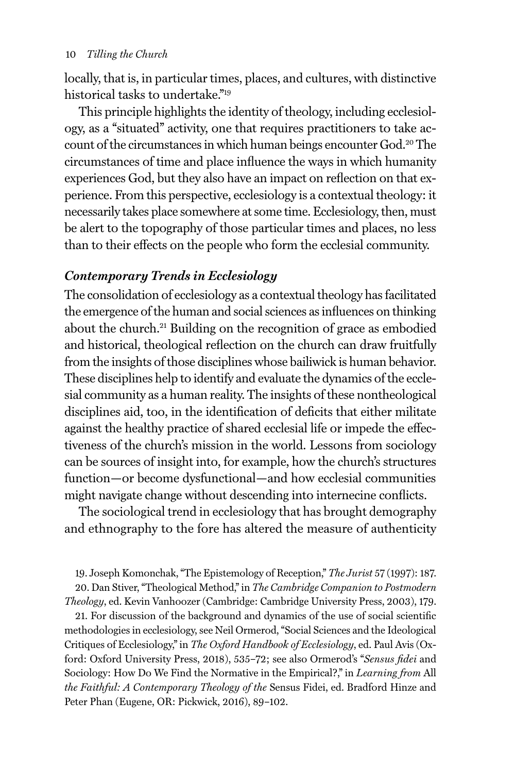### 10 *Tilling the Church*

locally, that is, in particular times, places, and cultures, with distinctive historical tasks to undertake."19

This principle highlights the identity of theology, including ecclesiology, as a "situated" activity, one that requires practitioners to take account of the circumstances in which human beings encounter God.<sup>20</sup> The circumstances of time and place influence the ways in which humanity experiences God, but they also have an impact on reflection on that experience. From this perspective, ecclesiology is a contextual theology: it necessarily takes place somewhere at some time. Ecclesiology, then, must be alert to the topography of those particular times and places, no less than to their effects on the people who form the ecclesial community.

# *Contemporary Trends in Ecclesiology*

The consolidation of ecclesiology as a contextual theology has facilitated the emergence of the human and social sciences as influences on thinking about the church.<sup>21</sup> Building on the recognition of grace as embodied and historical, theological reflection on the church can draw fruitfully from the insights of those disciplines whose bailiwick is human behavior. These disciplines help to identify and evaluate the dynamics of the ecclesial community as a human reality. The insights of these nontheological disciplines aid, too, in the identification of deficits that either militate against the healthy practice of shared ecclesial life or impede the effectiveness of the church's mission in the world. Lessons from sociology can be sources of insight into, for example, how the church's structures function—or become dysfunctional—and how ecclesial communities might navigate change without descending into internecine conflicts.

The sociological trend in ecclesiology that has brought demography and ethnography to the fore has altered the measure of authenticity

19. Joseph Komonchak, "The Epistemology of Reception," *The Jurist* 57 (1997): 187. 20. Dan Stiver, "Theological Method," in *The Cambridge Companion to Postmodern* 

*Theology*, ed. Kevin Vanhoozer (Cambridge: Cambridge University Press, 2003), 179. 21. For discussion of the background and dynamics of the use of social scientific methodologies in ecclesiology, see Neil Ormerod, "Social Sciences and the Ideological Critiques of Ecclesiology," in *The Oxford Handbook of Ecclesiology*, ed. Paul Avis (Oxford: Oxford University Press, 2018), 535–72; see also Ormerod's "*Sensus fidei* and

Sociology: How Do We Find the Normative in the Empirical?," in *Learning from* All *the Faithful: A Contemporary Theology of the* Sensus Fidei, ed. Bradford Hinze and Peter Phan (Eugene, OR: Pickwick, 2016), 89–102.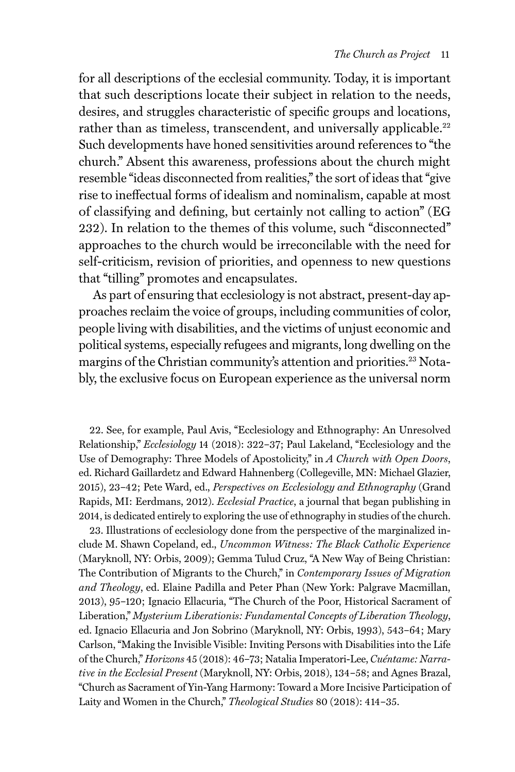for all descriptions of the ecclesial community. Today, it is important that such descriptions locate their subject in relation to the needs, desires, and struggles characteristic of specific groups and locations, rather than as timeless, transcendent, and universally applicable.<sup>22</sup> Such developments have honed sensitivities around references to "the church." Absent this awareness, professions about the church might resemble "ideas disconnected from realities," the sort of ideas that "give rise to ineffectual forms of idealism and nominalism, capable at most of classifying and defining, but certainly not calling to action" (EG 232). In relation to the themes of this volume, such "disconnected" approaches to the church would be irreconcilable with the need for self-criticism, revision of priorities, and openness to new questions that "tilling" promotes and encapsulates.

As part of ensuring that ecclesiology is not abstract, present-day approaches reclaim the voice of groups, including communities of color, people living with disabilities, and the victims of unjust economic and political systems, especially refugees and migrants, long dwelling on the margins of the Christian community's attention and priorities.<sup>23</sup> Notably, the exclusive focus on European experience as the universal norm

22. See, for example, Paul Avis, "Ecclesiology and Ethnography: An Unresolved Relationship," *Ecclesiology* 14 (2018): 322–37; Paul Lakeland, "Ecclesiology and the Use of Demography: Three Models of Apostolicity," in *A Church with Open Doors*, ed. Richard Gaillardetz and Edward Hahnenberg (Collegeville, MN: Michael Glazier, 2015), 23–42; Pete Ward, ed., *Perspectives on Ecclesiology and Ethnography* (Grand Rapids, MI: Eerdmans, 2012). *Ecclesial Practice*, a journal that began publishing in 2014, is dedicated entirely to exploring the use of ethnography in studies of the church.

23. Illustrations of ecclesiology done from the perspective of the marginalized include M. Shawn Copeland, ed., *Uncommon Witness: The Black Catholic Experience* (Maryknoll, NY: Orbis, 2009); Gemma Tulud Cruz, "A New Way of Being Christian: The Contribution of Migrants to the Church," in *Contemporary Issues of Migration and Theology*, ed. Elaine Padilla and Peter Phan (New York: Palgrave Macmillan, 2013), 95–120; Ignacio Ellacuria, "The Church of the Poor, Historical Sacrament of Liberation," *Mysterium Liberationis: Fundamental Concepts of Liberation Theology*, ed. Ignacio Ellacuria and Jon Sobrino (Maryknoll, NY: Orbis, 1993), 543–64; Mary Carlson, "Making the Invisible Visible: Inviting Persons with Disabilities into the Life of the Church," *Horizons* 45 (2018): 46–73; Natalia Imperatori-Lee, *Cuéntame: Narrative in the Ecclesial Present* (Maryknoll, NY: Orbis, 2018), 134–58; and Agnes Brazal, "Church as Sacrament of Yin-Yang Harmony: Toward a More Incisive Participation of Laity and Women in the Church," *Theological Studies* 80 (2018): 414–35.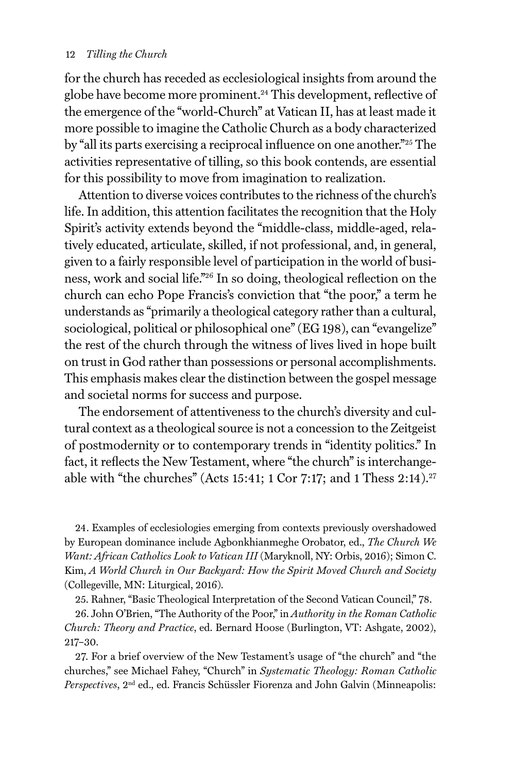#### 12 *Tilling the Church*

for the church has receded as ecclesiological insights from around the globe have become more prominent.<sup>24</sup> This development, reflective of the emergence of the "world-Church" at Vatican II, has at least made it more possible to imagine the Catholic Church as a body characterized by "all its parts exercising a reciprocal influence on one another."25 The activities representative of tilling, so this book contends, are essential for this possibility to move from imagination to realization.

Attention to diverse voices contributes to the richness of the church's life. In addition, this attention facilitates the recognition that the Holy Spirit's activity extends beyond the "middle-class, middle-aged, relatively educated, articulate, skilled, if not professional, and, in general, given to a fairly responsible level of participation in the world of business, work and social life."26 In so doing, theological reflection on the church can echo Pope Francis's conviction that "the poor," a term he understands as "primarily a theological category rather than a cultural, sociological, political or philosophical one" (EG 198), can "evangelize" the rest of the church through the witness of lives lived in hope built on trust in God rather than possessions or personal accomplishments. This emphasis makes clear the distinction between the gospel message and societal norms for success and purpose.

The endorsement of attentiveness to the church's diversity and cultural context as a theological source is not a concession to the Zeitgeist of postmodernity or to contemporary trends in "identity politics." In fact, it reflects the New Testament, where "the church" is interchangeable with "the churches" (Acts 15:41; 1 Cor 7:17; and 1 Thess  $2:14$ ).<sup>27</sup>

24. Examples of ecclesiologies emerging from contexts previously overshadowed by European dominance include Agbonkhianmeghe Orobator, ed., *The Church We Want: African Catholics Look to Vatican III* (Maryknoll, NY: Orbis, 2016); Simon C. Kim, *A World Church in Our Backyard: How the Spirit Moved Church and Society*  (Collegeville, MN: Liturgical, 2016).

25. Rahner, "Basic Theological Interpretation of the Second Vatican Council," 78.

26. John O'Brien, "The Authority of the Poor," in *Authority in the Roman Catholic Church: Theory and Practice*, ed. Bernard Hoose (Burlington, VT: Ashgate, 2002), 217–30.

27. For a brief overview of the New Testament's usage of "the church" and "the churches," see Michael Fahey, "Church" in *Systematic Theology: Roman Catholic Perspectives*, 2nd ed., ed. Francis Schüssler Fiorenza and John Galvin (Minneapolis: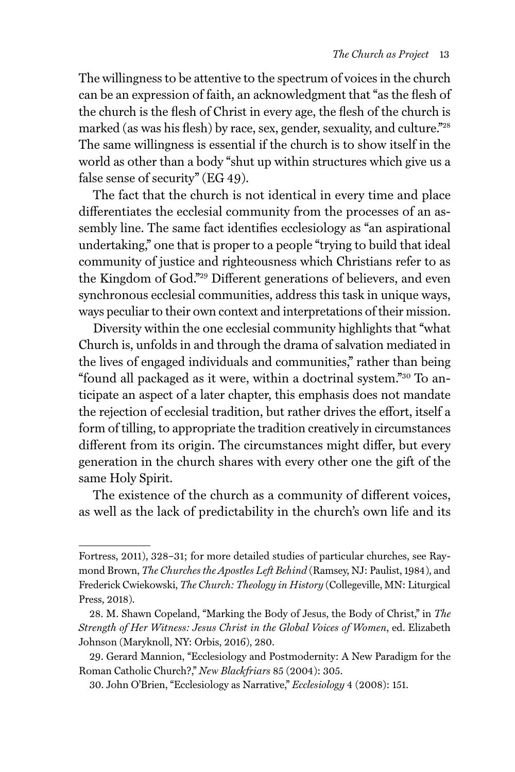The willingness to be attentive to the spectrum of voices in the church can be an expression of faith, an acknowledgment that "as the flesh of the church is the flesh of Christ in every age, the flesh of the church is marked (as was his flesh) by race, sex, gender, sexuality, and culture.<sup>"28</sup> The same willingness is essential if the church is to show itself in the world as other than a body "shut up within structures which give us a false sense of security" (EG 49).

The fact that the church is not identical in every time and place differentiates the ecclesial community from the processes of an assembly line. The same fact identifies ecclesiology as "an aspirational undertaking," one that is proper to a people "trying to build that ideal community of justice and righteousness which Christians refer to as the Kingdom of God."29 Different generations of believers, and even synchronous ecclesial communities, address this task in unique ways, ways peculiar to their own context and interpretations of their mission.

Diversity within the one ecclesial community highlights that "what Church is, unfolds in and through the drama of salvation mediated in the lives of engaged individuals and communities," rather than being "found all packaged as it were, within a doctrinal system."30 To anticipate an aspect of a later chapter, this emphasis does not mandate the rejection of ecclesial tradition, but rather drives the effort, itself a form of tilling, to appropriate the tradition creatively in circumstances different from its origin. The circumstances might differ, but every generation in the church shares with every other one the gift of the same Holy Spirit.

The existence of the church as a community of different voices, as well as the lack of predictability in the church's own life and its

Fortress, 2011), 328–31; for more detailed studies of particular churches, see Raymond Brown, *The Churches the Apostles Left Behind* (Ramsey, NJ: Paulist, 1984), and Frederick Cwiekowski, *The Church: Theology in History* (Collegeville, MN: Liturgical Press, 2018).

<sup>28.</sup> M. Shawn Copeland, "Marking the Body of Jesus, the Body of Christ," in *The Strength of Her Witness: Jesus Christ in the Global Voices of Women*, ed. Elizabeth Johnson (Maryknoll, NY: Orbis, 2016), 280.

<sup>29.</sup> Gerard Mannion, "Ecclesiology and Postmodernity: A New Paradigm for the Roman Catholic Church?," *New Blackfriars* 85 (2004): 305.

<sup>30.</sup> John O'Brien, "Ecclesiology as Narrative," *Ecclesiology* 4 (2008): 151.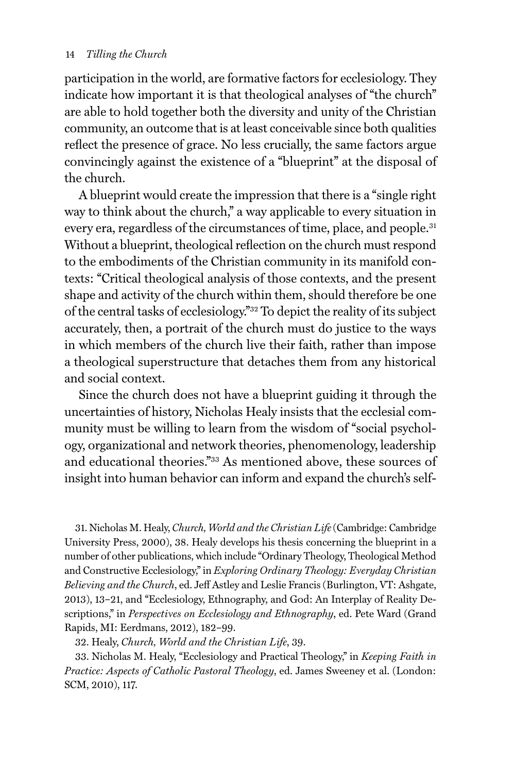### 14 *Tilling the Church*

participation in the world, are formative factors for ecclesiology. They indicate how important it is that theological analyses of "the church" are able to hold together both the diversity and unity of the Christian community, an outcome that is at least conceivable since both qualities reflect the presence of grace. No less crucially, the same factors argue convincingly against the existence of a "blueprint" at the disposal of the church.

A blueprint would create the impression that there is a "single right way to think about the church," a way applicable to every situation in every era, regardless of the circumstances of time, place, and people.<sup>31</sup> Without a blueprint, theological reflection on the church must respond to the embodiments of the Christian community in its manifold contexts: "Critical theological analysis of those contexts, and the present shape and activity of the church within them, should therefore be one of the central tasks of ecclesiology."32 To depict the reality of its subject accurately, then, a portrait of the church must do justice to the ways in which members of the church live their faith, rather than impose a theological superstructure that detaches them from any historical and social context.

Since the church does not have a blueprint guiding it through the uncertainties of history, Nicholas Healy insists that the ecclesial community must be willing to learn from the wisdom of "social psychology, organizational and network theories, phenomenology, leadership and educational theories."33 As mentioned above, these sources of insight into human behavior can inform and expand the church's self-

31. Nicholas M. Healy, *Church, World and the Christian Life* (Cambridge: Cambridge University Press, 2000), 38. Healy develops his thesis concerning the blueprint in a number of other publications, which include "Ordinary Theology, Theological Method and Constructive Ecclesiology," in *Exploring Ordinary Theology: Everyday Christian Believing and the Church*, ed. Jeff Astley and Leslie Francis (Burlington, VT: Ashgate, 2013), 13–21, and "Ecclesiology, Ethnography, and God: An Interplay of Reality Descriptions," in *Perspectives on Ecclesiology and Ethnography*, ed. Pete Ward (Grand Rapids, MI: Eerdmans, 2012), 182–99.

32. Healy, *Church, World and the Christian Life*, 39.

33. Nicholas M. Healy, "Ecclesiology and Practical Theology," in *Keeping Faith in Practice: Aspects of Catholic Pastoral Theology*, ed. James Sweeney et al. (London: SCM, 2010), 117.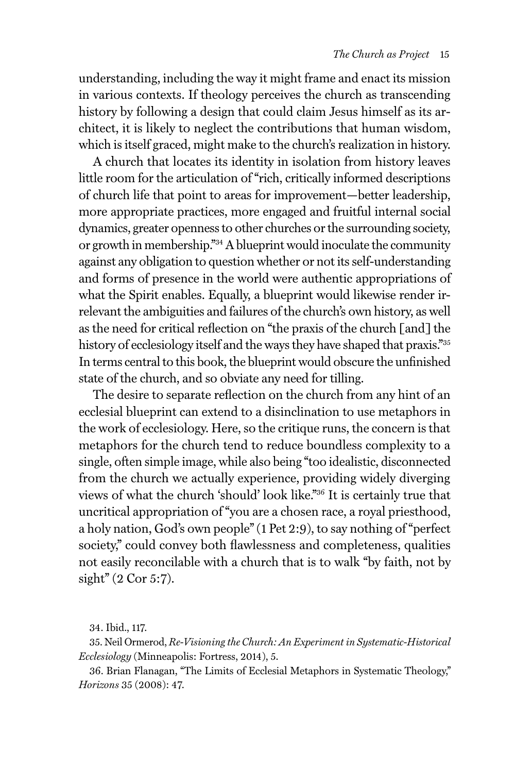understanding, including the way it might frame and enact its mission in various contexts. If theology perceives the church as transcending history by following a design that could claim Jesus himself as its architect, it is likely to neglect the contributions that human wisdom, which is itself graced, might make to the church's realization in history.

A church that locates its identity in isolation from history leaves little room for the articulation of "rich, critically informed descriptions of church life that point to areas for improvement—better leadership, more appropriate practices, more engaged and fruitful internal social dynamics, greater openness to other churches or the surrounding society, or growth in membership."34 A blueprint would inoculate the community against any obligation to question whether or not its self-understanding and forms of presence in the world were authentic appropriations of what the Spirit enables. Equally, a blueprint would likewise render irrelevant the ambiguities and failures of the church's own history, as well as the need for critical reflection on "the praxis of the church [and] the history of ecclesiology itself and the ways they have shaped that praxis."<sup>35</sup> In terms central to this book, the blueprint would obscure the unfinished state of the church, and so obviate any need for tilling.

The desire to separate reflection on the church from any hint of an ecclesial blueprint can extend to a disinclination to use metaphors in the work of ecclesiology. Here, so the critique runs, the concern is that metaphors for the church tend to reduce boundless complexity to a single, often simple image, while also being "too idealistic, disconnected from the church we actually experience, providing widely diverging views of what the church 'should' look like."36 It is certainly true that uncritical appropriation of "you are a chosen race, a royal priesthood, a holy nation, God's own people" (1 Pet 2:9), to say nothing of "perfect society," could convey both flawlessness and completeness, qualities not easily reconcilable with a church that is to walk "by faith, not by sight" (2 Cor 5:7).

35. Neil Ormerod, *Re-Visioning the Church: An Experiment in Systematic-Historical Ecclesiology* (Minneapolis: Fortress, 2014), 5.

36. Brian Flanagan, "The Limits of Ecclesial Metaphors in Systematic Theology," *Horizons* 35 (2008): 47.

<sup>34.</sup> Ibid., 117.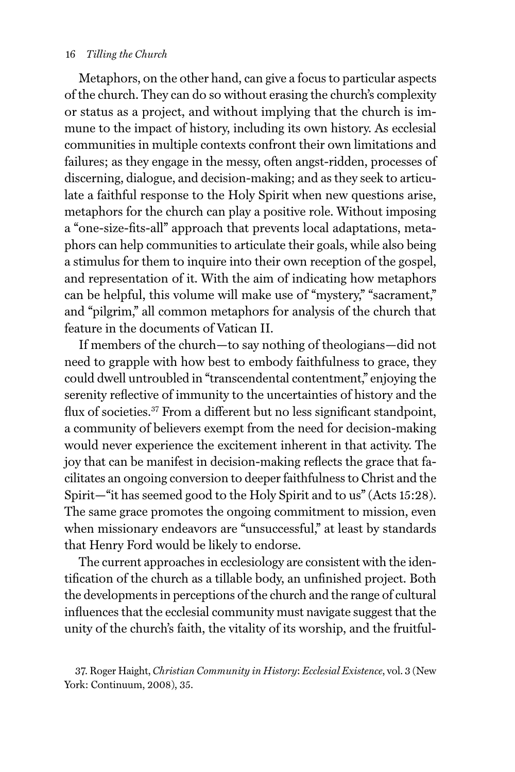#### 16 *Tilling the Church*

Metaphors, on the other hand, can give a focus to particular aspects of the church. They can do so without erasing the church's complexity or status as a project, and without implying that the church is immune to the impact of history, including its own history. As ecclesial communities in multiple contexts confront their own limitations and failures; as they engage in the messy, often angst-ridden, processes of discerning, dialogue, and decision-making; and as they seek to articulate a faithful response to the Holy Spirit when new questions arise, metaphors for the church can play a positive role. Without imposing a "one-size-fits-all" approach that prevents local adaptations, metaphors can help communities to articulate their goals, while also being a stimulus for them to inquire into their own reception of the gospel, and representation of it. With the aim of indicating how metaphors can be helpful, this volume will make use of "mystery," "sacrament," and "pilgrim," all common metaphors for analysis of the church that feature in the documents of Vatican II.

If members of the church—to say nothing of theologians—did not need to grapple with how best to embody faithfulness to grace, they could dwell untroubled in "transcendental contentment," enjoying the serenity reflective of immunity to the uncertainties of history and the flux of societies.<sup>37</sup> From a different but no less significant standpoint, a community of believers exempt from the need for decision-making would never experience the excitement inherent in that activity. The joy that can be manifest in decision-making reflects the grace that facilitates an ongoing conversion to deeper faithfulness to Christ and the Spirit—"it has seemed good to the Holy Spirit and to us" (Acts 15:28). The same grace promotes the ongoing commitment to mission, even when missionary endeavors are "unsuccessful," at least by standards that Henry Ford would be likely to endorse.

The current approaches in ecclesiology are consistent with the identification of the church as a tillable body, an unfinished project. Both the developments in perceptions of the church and the range of cultural influences that the ecclesial community must navigate suggest that the unity of the church's faith, the vitality of its worship, and the fruitful-

<sup>37.</sup> Roger Haight, *Christian Community in History*: *Ecclesial Existence*, vol. 3 (New York: Continuum, 2008), 35.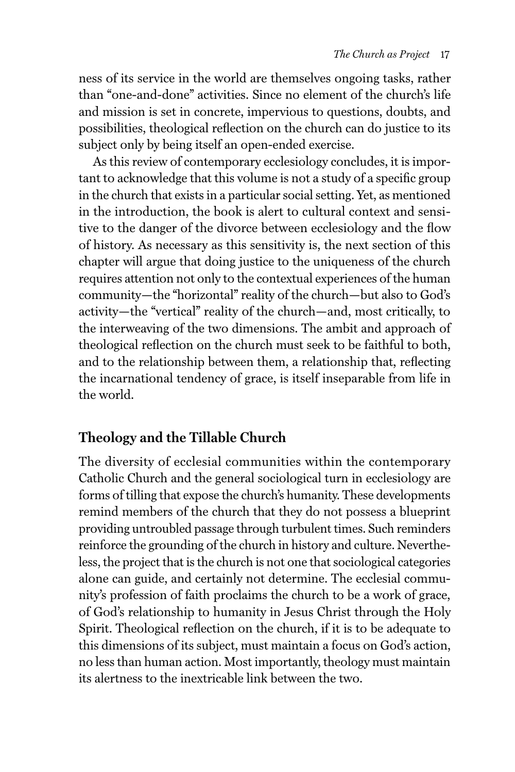ness of its service in the world are themselves ongoing tasks, rather than "one-and-done" activities. Since no element of the church's life and mission is set in concrete, impervious to questions, doubts, and possibilities, theological reflection on the church can do justice to its subject only by being itself an open-ended exercise.

As this review of contemporary ecclesiology concludes, it is important to acknowledge that this volume is not a study of a specific group in the church that exists in a particular social setting. Yet, as mentioned in the introduction, the book is alert to cultural context and sensitive to the danger of the divorce between ecclesiology and the flow of history. As necessary as this sensitivity is, the next section of this chapter will argue that doing justice to the uniqueness of the church requires attention not only to the contextual experiences of the human community—the "horizontal" reality of the church—but also to God's activity—the "vertical" reality of the church—and, most critically, to the interweaving of the two dimensions. The ambit and approach of theological reflection on the church must seek to be faithful to both, and to the relationship between them, a relationship that, reflecting the incarnational tendency of grace, is itself inseparable from life in the world.

# **Theology and the Tillable Church**

The diversity of ecclesial communities within the contemporary Catholic Church and the general sociological turn in ecclesiology are forms of tilling that expose the church's humanity. These developments remind members of the church that they do not possess a blueprint providing untroubled passage through turbulent times. Such reminders reinforce the grounding of the church in history and culture. Nevertheless, the project that is the church is not one that sociological categories alone can guide, and certainly not determine. The ecclesial community's profession of faith proclaims the church to be a work of grace, of God's relationship to humanity in Jesus Christ through the Holy Spirit. Theological reflection on the church, if it is to be adequate to this dimensions of its subject, must maintain a focus on God's action, no less than human action. Most importantly, theology must maintain its alertness to the inextricable link between the two.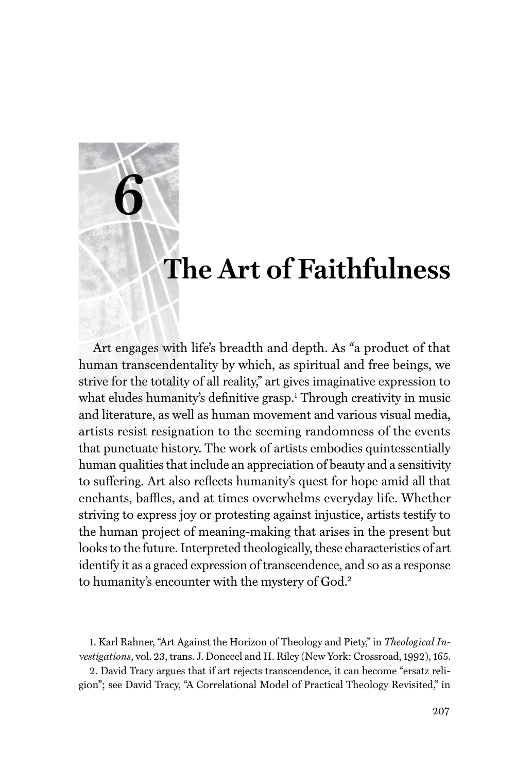# **The Art of Faithfulness**

Art engages with life's breadth and depth. As "a product of that human transcendentality by which, as spiritual and free beings, we strive for the totality of all reality," art gives imaginative expression to what eludes humanity's definitive grasp.<sup>1</sup> Through creativity in music and literature, as well as human movement and various visual media, artists resist resignation to the seeming randomness of the events that punctuate history. The work of artists embodies quintessentially human qualities that include an appreciation of beauty and a sensitivity to suffering. Art also reflects humanity's quest for hope amid all that enchants, baffles, and at times overwhelms everyday life. Whether striving to express joy or protesting against injustice, artists testify to the human project of meaning-making that arises in the present but looks to the future. Interpreted theologically, these characteristics of art identify it as a graced expression of transcendence, and so as a response to humanity's encounter with the mystery of God.<sup>2</sup>

**6**

1. Karl Rahner, "Art Against the Horizon of Theology and Piety," in *Theological Investigations*, vol. 23, trans. J. Donceel and H. Riley (New York: Crossroad, 1992), 165.

2. David Tracy argues that if art rejects transcendence, it can become "ersatz religion"; see David Tracy, "A Correlational Model of Practical Theology Revisited," in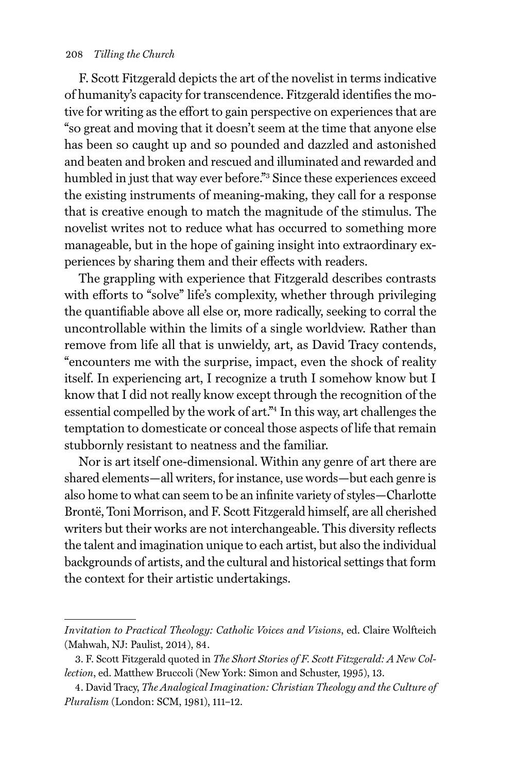F. Scott Fitzgerald depicts the art of the novelist in terms indicative of humanity's capacity for transcendence. Fitzgerald identifies the motive for writing as the effort to gain perspective on experiences that are "so great and moving that it doesn't seem at the time that anyone else has been so caught up and so pounded and dazzled and astonished and beaten and broken and rescued and illuminated and rewarded and humbled in just that way ever before."<sup>3</sup> Since these experiences exceed the existing instruments of meaning-making, they call for a response that is creative enough to match the magnitude of the stimulus. The novelist writes not to reduce what has occurred to something more manageable, but in the hope of gaining insight into extraordinary experiences by sharing them and their effects with readers.

The grappling with experience that Fitzgerald describes contrasts with efforts to "solve" life's complexity, whether through privileging the quantifiable above all else or, more radically, seeking to corral the uncontrollable within the limits of a single worldview. Rather than remove from life all that is unwieldy, art, as David Tracy contends, "encounters me with the surprise, impact, even the shock of reality itself. In experiencing art, I recognize a truth I somehow know but I know that I did not really know except through the recognition of the essential compelled by the work of art."4 In this way, art challenges the temptation to domesticate or conceal those aspects of life that remain stubbornly resistant to neatness and the familiar.

Nor is art itself one-dimensional. Within any genre of art there are shared elements—all writers, for instance, use words—but each genre is also home to what can seem to be an infinite variety of styles—Charlotte Brontë, Toni Morrison, and F. Scott Fitzgerald himself, are all cherished writers but their works are not interchangeable. This diversity reflects the talent and imagination unique to each artist, but also the individual backgrounds of artists, and the cultural and historical settings that form the context for their artistic undertakings.

*Invitation to Practical Theology: Catholic Voices and Visions*, ed. Claire Wolfteich (Mahwah, NJ: Paulist, 2014), 84.

<sup>3.</sup> F. Scott Fitzgerald quoted in *The Short Stories of F. Scott Fitzgerald: A New Collection*, ed. Matthew Bruccoli (New York: Simon and Schuster, 1995), 13.

<sup>4.</sup> David Tracy, *The Analogical Imagination: Christian Theology and the Culture of Pluralism* (London: SCM, 1981), 111–12.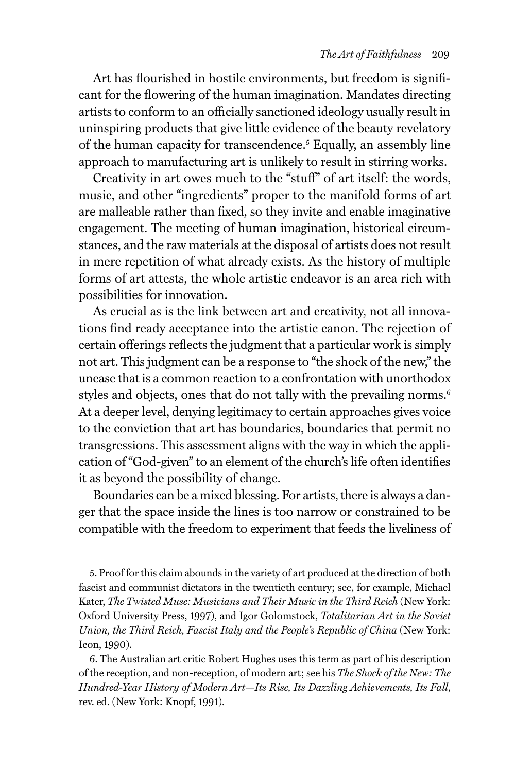Art has flourished in hostile environments, but freedom is significant for the flowering of the human imagination. Mandates directing artists to conform to an officially sanctioned ideology usually result in uninspiring products that give little evidence of the beauty revelatory of the human capacity for transcendence.<sup>5</sup> Equally, an assembly line approach to manufacturing art is unlikely to result in stirring works.

Creativity in art owes much to the "stuff" of art itself: the words, music, and other "ingredients" proper to the manifold forms of art are malleable rather than fixed, so they invite and enable imaginative engagement. The meeting of human imagination, historical circumstances, and the raw materials at the disposal of artists does not result in mere repetition of what already exists. As the history of multiple forms of art attests, the whole artistic endeavor is an area rich with possibilities for innovation.

As crucial as is the link between art and creativity, not all innovations find ready acceptance into the artistic canon. The rejection of certain offerings reflects the judgment that a particular work is simply not art. This judgment can be a response to "the shock of the new," the unease that is a common reaction to a confrontation with unorthodox styles and objects, ones that do not tally with the prevailing norms.<sup>6</sup> At a deeper level, denying legitimacy to certain approaches gives voice to the conviction that art has boundaries, boundaries that permit no transgressions. This assessment aligns with the way in which the application of "God-given" to an element of the church's life often identifies it as beyond the possibility of change.

Boundaries can be a mixed blessing. For artists, there is always a danger that the space inside the lines is too narrow or constrained to be compatible with the freedom to experiment that feeds the liveliness of

5. Proof for this claim abounds in the variety of art produced at the direction of both fascist and communist dictators in the twentieth century; see, for example, Michael Kater, *The Twisted Muse: Musicians and Their Music in the Third Reich* (New York: Oxford University Press, 1997), and Igor Golomstock, *Totalitarian Art in the Soviet Union, the Third Reich, Fascist Italy and the People's Republic of China* (New York: Icon, 1990).

6. The Australian art critic Robert Hughes uses this term as part of his description of the reception, and non-reception, of modern art; see his *The Shock of the New: The Hundred-Year History of Modern Art*—*Its Rise, Its Dazzling Achievements, Its Fall*, rev. ed. (New York: Knopf, 1991).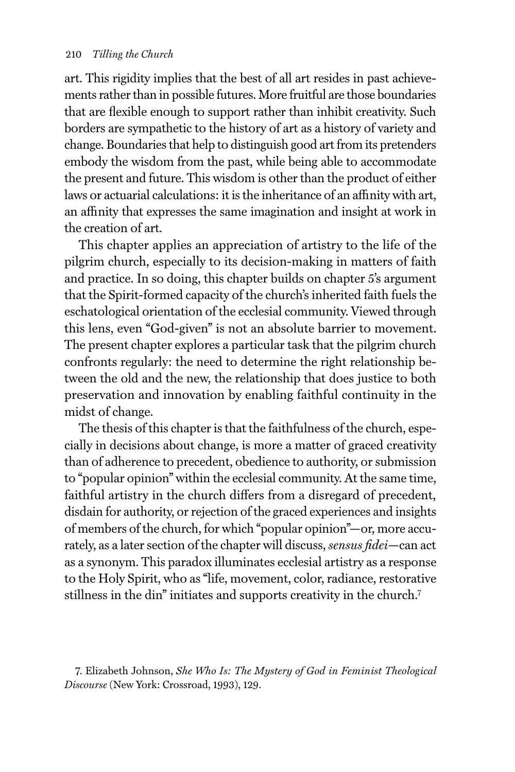art. This rigidity implies that the best of all art resides in past achievements rather than in possible futures. More fruitful are those boundaries that are flexible enough to support rather than inhibit creativity. Such borders are sympathetic to the history of art as a history of variety and change. Boundaries that help to distinguish good art from its pretenders embody the wisdom from the past, while being able to accommodate the present and future. This wisdom is other than the product of either laws or actuarial calculations: it is the inheritance of an affinity with art, an affinity that expresses the same imagination and insight at work in the creation of art.

This chapter applies an appreciation of artistry to the life of the pilgrim church, especially to its decision-making in matters of faith and practice. In so doing, this chapter builds on chapter 5's argument that the Spirit-formed capacity of the church's inherited faith fuels the eschatological orientation of the ecclesial community. Viewed through this lens, even "God-given" is not an absolute barrier to movement. The present chapter explores a particular task that the pilgrim church confronts regularly: the need to determine the right relationship between the old and the new, the relationship that does justice to both preservation and innovation by enabling faithful continuity in the midst of change.

The thesis of this chapter is that the faithfulness of the church, especially in decisions about change, is more a matter of graced creativity than of adherence to precedent, obedience to authority, or submission to "popular opinion" within the ecclesial community. At the same time, faithful artistry in the church differs from a disregard of precedent, disdain for authority, or rejection of the graced experiences and insights of members of the church, for which "popular opinion"—or, more accurately, as a later section of the chapter will discuss, *sensus fidei*—can act as a synonym. This paradox illuminates ecclesial artistry as a response to the Holy Spirit, who as "life, movement, color, radiance, restorative stillness in the din" initiates and supports creativity in the church.7

<sup>7.</sup> Elizabeth Johnson, *She Who Is: The Mystery of God in Feminist Theological Discourse* (New York: Crossroad, 1993), 129.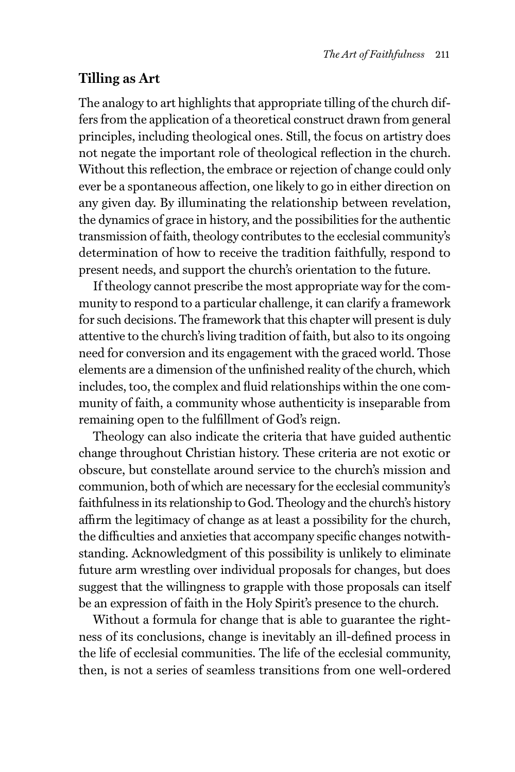# **Tilling as Art**

The analogy to art highlights that appropriate tilling of the church differs from the application of a theoretical construct drawn from general principles, including theological ones. Still, the focus on artistry does not negate the important role of theological reflection in the church. Without this reflection, the embrace or rejection of change could only ever be a spontaneous affection, one likely to go in either direction on any given day. By illuminating the relationship between revelation, the dynamics of grace in history, and the possibilities for the authentic transmission of faith, theology contributes to the ecclesial community's determination of how to receive the tradition faithfully, respond to present needs, and support the church's orientation to the future.

If theology cannot prescribe the most appropriate way for the community to respond to a particular challenge, it can clarify a framework for such decisions. The framework that this chapter will present is duly attentive to the church's living tradition of faith, but also to its ongoing need for conversion and its engagement with the graced world. Those elements are a dimension of the unfinished reality of the church, which includes, too, the complex and fluid relationships within the one community of faith, a community whose authenticity is inseparable from remaining open to the fulfillment of God's reign.

Theology can also indicate the criteria that have guided authentic change throughout Christian history. These criteria are not exotic or obscure, but constellate around service to the church's mission and communion, both of which are necessary for the ecclesial community's faithfulness in its relationship to God. Theology and the church's history affirm the legitimacy of change as at least a possibility for the church, the difficulties and anxieties that accompany specific changes notwithstanding. Acknowledgment of this possibility is unlikely to eliminate future arm wrestling over individual proposals for changes, but does suggest that the willingness to grapple with those proposals can itself be an expression of faith in the Holy Spirit's presence to the church.

Without a formula for change that is able to guarantee the rightness of its conclusions, change is inevitably an ill-defined process in the life of ecclesial communities. The life of the ecclesial community, then, is not a series of seamless transitions from one well-ordered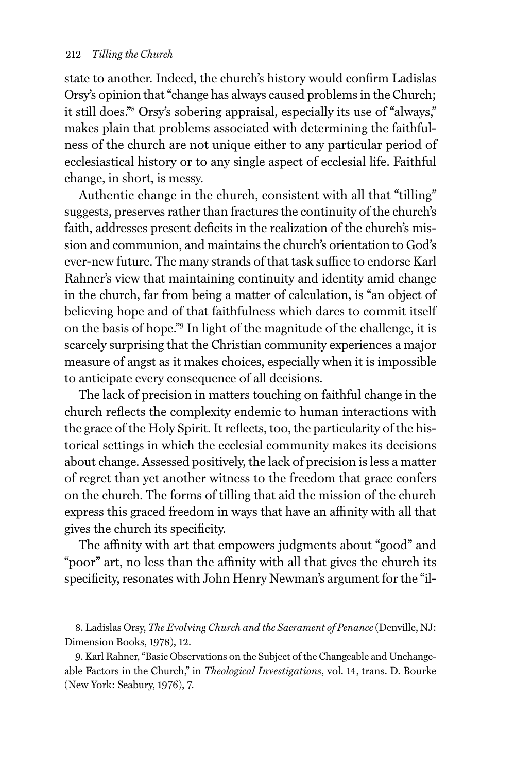state to another. Indeed, the church's history would confirm Ladislas Orsy's opinion that "change has always caused problems in the Church; it still does."8 Orsy's sobering appraisal, especially its use of "always," makes plain that problems associated with determining the faithfulness of the church are not unique either to any particular period of ecclesiastical history or to any single aspect of ecclesial life. Faithful change, in short, is messy.

Authentic change in the church, consistent with all that "tilling" suggests, preserves rather than fractures the continuity of the church's faith, addresses present deficits in the realization of the church's mission and communion, and maintains the church's orientation to God's ever-new future. The many strands of that task suffice to endorse Karl Rahner's view that maintaining continuity and identity amid change in the church, far from being a matter of calculation, is "an object of believing hope and of that faithfulness which dares to commit itself on the basis of hope."9 In light of the magnitude of the challenge, it is scarcely surprising that the Christian community experiences a major measure of angst as it makes choices, especially when it is impossible to anticipate every consequence of all decisions.

The lack of precision in matters touching on faithful change in the church reflects the complexity endemic to human interactions with the grace of the Holy Spirit. It reflects, too, the particularity of the historical settings in which the ecclesial community makes its decisions about change. Assessed positively, the lack of precision is less a matter of regret than yet another witness to the freedom that grace confers on the church. The forms of tilling that aid the mission of the church express this graced freedom in ways that have an affinity with all that gives the church its specificity.

The affinity with art that empowers judgments about "good" and "poor" art, no less than the affinity with all that gives the church its specificity, resonates with John Henry Newman's argument for the "il-

8. Ladislas Orsy, *The Evolving Church and the Sacrament of Penance* (Denville, NJ: Dimension Books, 1978), 12.

9. Karl Rahner, "Basic Observations on the Subject of the Changeable and Unchangeable Factors in the Church," in *Theological Investigations*, vol. 14, trans. D. Bourke (New York: Seabury, 1976), 7.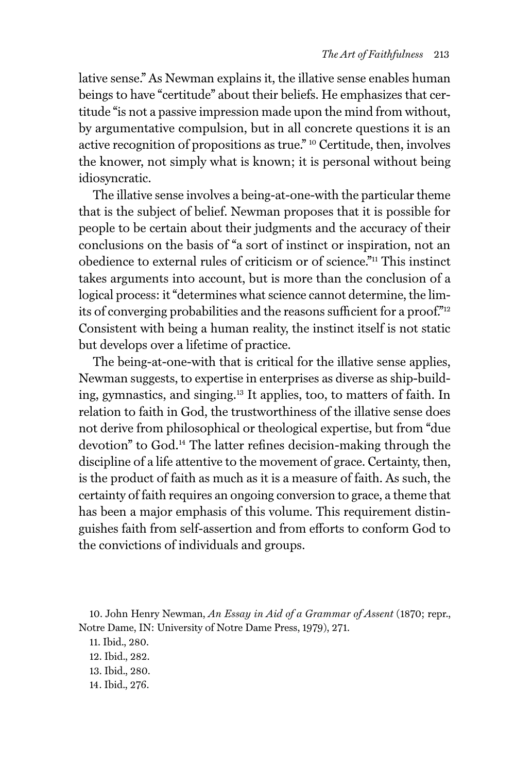lative sense." As Newman explains it, the illative sense enables human beings to have "certitude" about their beliefs. He emphasizes that certitude "is not a passive impression made upon the mind from without, by argumentative compulsion, but in all concrete questions it is an active recognition of propositions as true." 10 Certitude, then, involves the knower, not simply what is known; it is personal without being idiosyncratic.

The illative sense involves a being-at-one-with the particular theme that is the subject of belief. Newman proposes that it is possible for people to be certain about their judgments and the accuracy of their conclusions on the basis of "a sort of instinct or inspiration, not an obedience to external rules of criticism or of science."11 This instinct takes arguments into account, but is more than the conclusion of a logical process: it "determines what science cannot determine, the limits of converging probabilities and the reasons sufficient for a proof."12 Consistent with being a human reality, the instinct itself is not static but develops over a lifetime of practice.

The being-at-one-with that is critical for the illative sense applies, Newman suggests, to expertise in enterprises as diverse as ship-building, gymnastics, and singing.13 It applies, too, to matters of faith. In relation to faith in God, the trustworthiness of the illative sense does not derive from philosophical or theological expertise, but from "due devotion" to God.14 The latter refines decision-making through the discipline of a life attentive to the movement of grace. Certainty, then, is the product of faith as much as it is a measure of faith. As such, the certainty of faith requires an ongoing conversion to grace, a theme that has been a major emphasis of this volume. This requirement distinguishes faith from self-assertion and from efforts to conform God to the convictions of individuals and groups.

10. John Henry Newman, *An Essay in Aid of a Grammar of Assent* (1870; repr., Notre Dame, IN: University of Notre Dame Press, 1979), 271.

11. Ibid., 280. 12. Ibid., 282. 13. Ibid., 280. 14. Ibid., 276.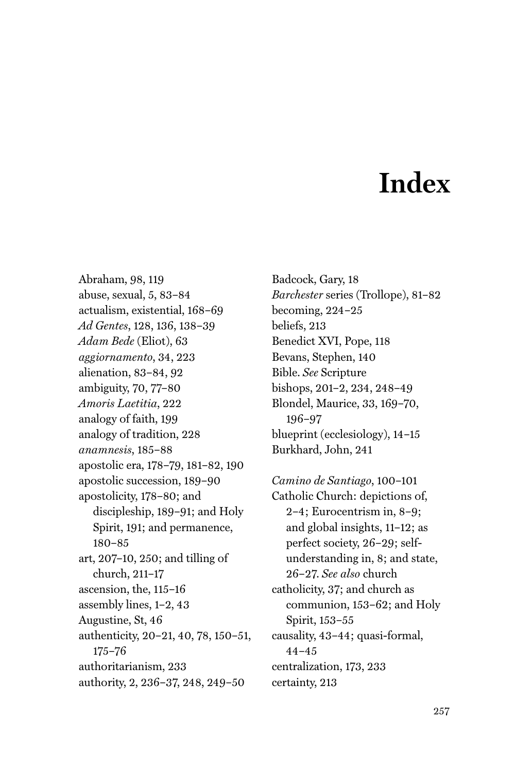# **Index**

Abraham, 98, 119 abuse, sexual, 5, 83–84 actualism, existential, 168–69 *Ad Gentes*, 128, 136, 138–39 *Adam Bede* (Eliot), 63 *aggiornamento*, 34, 223 alienation, 83–84, 92 ambiguity, 70, 77–80 *Amoris Laetitia*, 222 analogy of faith, 199 analogy of tradition, 228 *anamnesis*, 185–88 apostolic era, 178–79, 181–82, 190 apostolic succession, 189–90 apostolicity, 178–80; and discipleship, 189–91; and Holy Spirit, 191; and permanence, 180–85 art, 207–10, 250; and tilling of church, 211–17 ascension, the, 115–16 assembly lines, 1–2, 43 Augustine, St, 46 authenticity, 20–21, 40, 78, 150–51, 175–76 authoritarianism, 233 authority, 2, 236–37, 248, 249–50

Badcock, Gary, 18 *Barchester* series (Trollope), 81–82 becoming, 224–25 beliefs, 213 Benedict XVI, Pope, 118 Bevans, Stephen, 140 Bible. *See* Scripture bishops, 201–2, 234, 248–49 Blondel, Maurice, 33, 169–70, 196–97 blueprint (ecclesiology), 14–15 Burkhard, John, 241

*Camino de Santiago*, 100–101 Catholic Church: depictions of, 2–4; Eurocentrism in, 8–9; and global insights, 11–12; as perfect society, 26–29; selfunderstanding in, 8; and state, 26–27. *See also* church catholicity, 37; and church as communion, 153–62; and Holy Spirit, 153–55 causality, 43–44; quasi-formal, 44–45 centralization, 173, 233 certainty, 213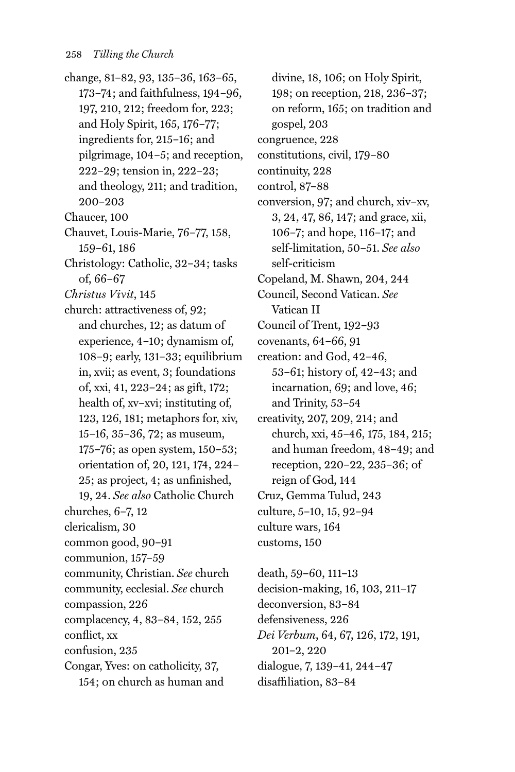- change, 81–82, 93, 135–36, 163–65, 173–74; and faithfulness, 194–96, 197, 210, 212; freedom for, 223; and Holy Spirit, 165, 176–77; ingredients for, 215–16; and pilgrimage, 104–5; and reception, 222–29; tension in, 222–23; and theology, 211; and tradition, 200–203
- Chaucer, 100
- Chauvet, Louis-Marie, 76–77, 158, 159–61, 186
- Christology: Catholic, 32–34; tasks of, 66–67
- *Christus Vivit*, 145
- church: attractiveness of, 92; and churches, 12; as datum of experience, 4–10; dynamism of, 108–9; early, 131–33; equilibrium in, xvii; as event, 3; foundations of, xxi, 41, 223–24; as gift, 172; health of, xv–xvi; instituting of, 123, 126, 181; metaphors for, xiv, 15–16, 35–36, 72; as museum, 175–76; as open system, 150–53; orientation of, 20, 121, 174, 224– 25; as project, 4; as unfinished, 19, 24. *See also* Catholic Church
- churches, 6–7, 12
- clericalism, 30
- common good, 90–91
- communion, 157–59
- community, Christian. *See* church
- community, ecclesial. *See* church
- compassion, 226
- complacency, 4, 83–84, 152, 255
- conflict, xx
- confusion, 235
- Congar, Yves: on catholicity, 37, 154; on church as human and

divine, 18, 106; on Holy Spirit, 198; on reception, 218, 236–37; on reform, 165; on tradition and gospel, 203 congruence, 228 constitutions, civil, 179–80 continuity, 228 control, 87–88 conversion, 97; and church, xiv–xv, 3, 24, 47, 86, 147; and grace, xii, 106–7; and hope, 116–17; and self-limitation, 50–51. *See also* self-criticism Copeland, M. Shawn, 204, 244 Council, Second Vatican. *See* Vatican II Council of Trent, 192–93 covenants, 64–66, 91 creation: and God, 42–46, 53–61; history of, 42–43; and incarnation, 69; and love, 46; and Trinity, 53–54 creativity, 207, 209, 214; and church, xxi, 45–46, 175, 184, 215; and human freedom, 48–49; and reception, 220–22, 235–36; of reign of God, 144 Cruz, Gemma Tulud, 243 culture, 5–10, 15, 92–94 culture wars, 164 customs, 150

death, 59–60, 111–13 decision-making, 16, 103, 211–17 deconversion, 83–84 defensiveness, 226 *Dei Verbum*, 64, 67, 126, 172, 191, 201–2, 220 dialogue, 7, 139–41, 244–47 disaffiliation, 83–84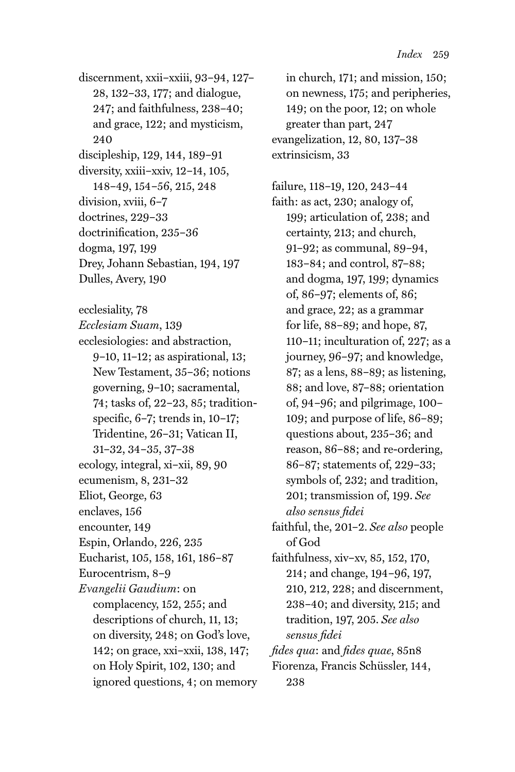discernment, xxii–xxiii, 93–94, 127– 28, 132–33, 177; and dialogue, 247; and faithfulness, 238–40; and grace, 122; and mysticism, 240 discipleship, 129, 144, 189–91 diversity, xxiii–xxiv, 12–14, 105, 148–49, 154–56, 215, 248 division, xviii, 6–7 doctrines, 229–33 doctrinification, 235–36 dogma, 197, 199 Drey, Johann Sebastian, 194, 197 Dulles, Avery, 190

ecclesiality, 78

*Ecclesiam Suam*, 139 ecclesiologies: and abstraction, 9–10, 11–12; as aspirational, 13; New Testament, 35–36; notions governing, 9–10; sacramental, 74; tasks of, 22–23, 85; traditionspecific, 6–7; trends in, 10–17; Tridentine, 26–31; Vatican II, 31–32, 34–35, 37–38 ecology, integral, xi–xii, 89, 90 ecumenism, 8, 231–32 Eliot, George, 63 enclaves, 156 encounter, 149 Espin, Orlando, 226, 235 Eucharist, 105, 158, 161, 186–87 Eurocentrism, 8–9 *Evangelii Gaudium*: on complacency, 152, 255; and descriptions of church, 11, 13; on diversity, 248; on God's love, 142; on grace, xxi–xxii, 138, 147; on Holy Spirit, 102, 130; and ignored questions, 4; on memory

in church, 171; and mission, 150; on newness, 175; and peripheries, 149; on the poor, 12; on whole greater than part, 247 evangelization, 12, 80, 137–38 extrinsicism, 33

failure, 118–19, 120, 243–44 faith: as act, 230; analogy of, 199; articulation of, 238; and certainty, 213; and church, 91–92; as communal, 89–94, 183–84; and control, 87–88; and dogma, 197, 199; dynamics of, 86–97; elements of, 86; and grace, 22; as a grammar for life, 88–89; and hope, 87, 110–11; inculturation of, 227; as a journey, 96–97; and knowledge, 87; as a lens, 88–89; as listening, 88; and love, 87–88; orientation of, 94–96; and pilgrimage, 100– 109; and purpose of life, 86–89; questions about, 235–36; and reason, 86–88; and re-ordering, 86–87; statements of, 229–33; symbols of, 232; and tradition, 201; transmission of, 199. *See also sensus fidei* faithful, the, 201–2. *See also* people

of God

faithfulness, xiv–xv, 85, 152, 170, 214; and change, 194–96, 197, 210, 212, 228; and discernment, 238–40; and diversity, 215; and tradition, 197, 205. *See also sensus fidei*

*fides qua*: and *fides quae*, 85n8 Fiorenza, Francis Schüssler, 144, 238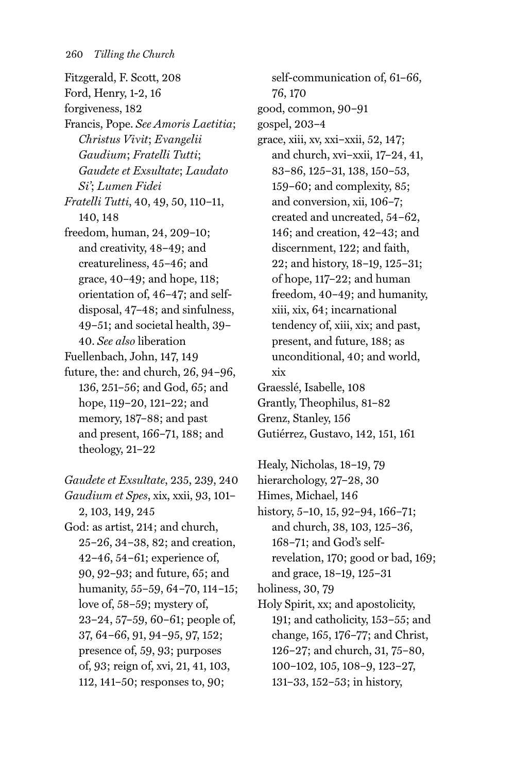- Fitzgerald, F. Scott, 208 Ford, Henry, 1-2, 16 forgiveness, 182 Francis, Pope. *See Amoris Laetitia*; *Christus Vivit*; *Evangelii Gaudium*; *Fratelli Tutti*; *Gaudete et Exsultate*; *Laudato Si'*; *Lumen Fidei Fratelli Tutti*, 40, 49, 50, 110–11, 140, 148 freedom, human, 24, 209–10; and creativity, 48–49; and creatureliness, 45–46; and grace, 40–49; and hope, 118; orientation of, 46–47; and selfdisposal, 47–48; and sinfulness, 49–51; and societal health, 39– 40. *See also* liberation Fuellenbach, John, 147, 149
- future, the: and church, 26, 94–96, 136, 251–56; and God, 65; and hope, 119–20, 121–22; and memory, 187–88; and past and present, 166–71, 188; and theology, 21–22

*Gaudete et Exsultate*, 235, 239, 240 *Gaudium et Spes*, xix, xxii, 93, 101– 2, 103, 149, 245 God: as artist, 214; and church, 25–26, 34–38, 82; and creation, 42–46, 54–61; experience of, 90, 92–93; and future, 65; and humanity, 55–59, 64–70, 114–15; love of, 58–59; mystery of, 23–24, 57–59, 60–61; people of, 37, 64–66, 91, 94–95, 97, 152; presence of, 59, 93; purposes of, 93; reign of, xvi, 21, 41, 103, 112, 141–50; responses to, 90;

self-communication of, 61–66, 76, 170 good, common, 90–91 gospel, 203–4 grace, xiii, xv, xxi–xxii, 52, 147; and church, xvi–xxii, 17–24, 41, 83–86, 125–31, 138, 150–53, 159–60; and complexity, 85; and conversion, xii, 106–7; created and uncreated, 54–62, 146; and creation, 42–43; and discernment, 122; and faith, 22; and history, 18–19, 125–31; of hope, 117–22; and human freedom, 40–49; and humanity, xiii, xix, 64; incarnational tendency of, xiii, xix; and past, present, and future, 188; as unconditional, 40; and world, xix Graesslé, Isabelle, 108 Grantly, Theophilus, 81–82 Grenz, Stanley, 156 Gutiérrez, Gustavo, 142, 151, 161

Healy, Nicholas, 18–19, 79 hierarchology, 27–28, 30 Himes, Michael, 146 history, 5–10, 15, 92–94, 166–71; and church, 38, 103, 125–36, 168–71; and God's selfrevelation, 170; good or bad, 169; and grace, 18–19, 125–31 holiness, 30, 79

Holy Spirit, xx; and apostolicity, 191; and catholicity, 153–55; and change, 165, 176–77; and Christ, 126–27; and church, 31, 75–80, 100–102, 105, 108–9, 123–27, 131–33, 152–53; in history,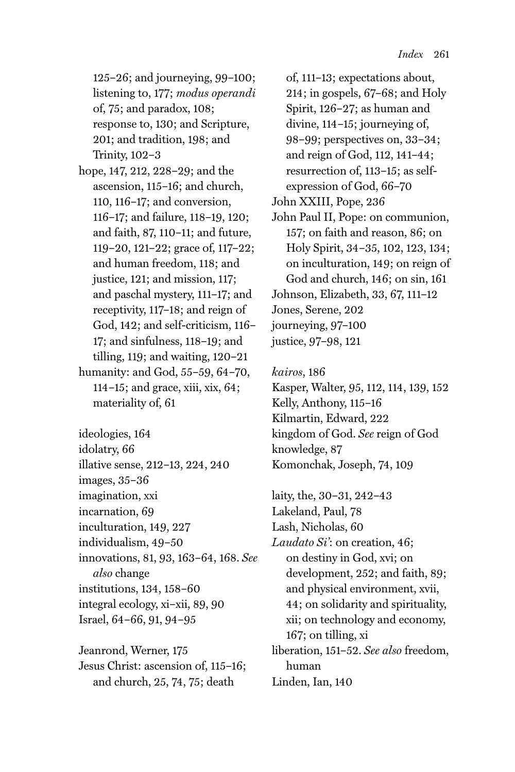125–26; and journeying, 99–100; listening to, 177; *modus operandi* of, 75; and paradox, 108; response to, 130; and Scripture, 201; and tradition, 198; and Trinity, 102–3

- hope, 147, 212, 228–29; and the ascension, 115–16; and church, 110, 116–17; and conversion, 116–17; and failure, 118–19, 120; and faith, 87, 110–11; and future, 119–20, 121–22; grace of, 117–22; and human freedom, 118; and justice, 121; and mission, 117; and paschal mystery, 111–17; and receptivity, 117–18; and reign of God, 142; and self-criticism, 116– 17; and sinfulness, 118–19; and tilling, 119; and waiting, 120–21 humanity: and God, 55–59, 64–70, 114–15; and grace, xiii, xix, 64; materiality of, 61
- ideologies, 164 idolatry, 66 illative sense, 212–13, 224, 240 images, 35–36 imagination, xxi incarnation, 69 inculturation, 149, 227 individualism, 49–50 innovations, 81, 93, 163–64, 168. *See also* change institutions, 134, 158–60 integral ecology, xi–xii, 89, 90 Israel, 64–66, 91, 94–95

Jeanrond, Werner, 175 Jesus Christ: ascension of, 115–16; and church, 25, 74, 75; death

of, 111–13; expectations about, 214; in gospels, 67–68; and Holy Spirit, 126–27; as human and divine, 114–15; journeying of, 98–99; perspectives on, 33–34; and reign of God, 112, 141–44; resurrection of, 113–15; as selfexpression of God, 66–70 John XXIII, Pope, 236 John Paul II, Pope: on communion, 157; on faith and reason, 86; on Holy Spirit, 34–35, 102, 123, 134; on inculturation, 149; on reign of God and church, 146; on sin, 161 Johnson, Elizabeth, 33, 67, 111–12 Jones, Serene, 202 journeying, 97–100 justice, 97–98, 121

*kairos*, 186

Kasper, Walter, 95, 112, 114, 139, 152 Kelly, Anthony, 115–16 Kilmartin, Edward, 222 kingdom of God. *See* reign of God knowledge, 87 Komonchak, Joseph, 74, 109

laity, the, 30–31, 242–43 Lakeland, Paul, 78 Lash, Nicholas, 60 *Laudato Si'*: on creation, 46; on destiny in God, xvi; on development, 252; and faith, 89; and physical environment, xvii, 44; on solidarity and spirituality, xii; on technology and economy, 167; on tilling, xi liberation, 151–52. *See also* freedom, human Linden, Ian, 140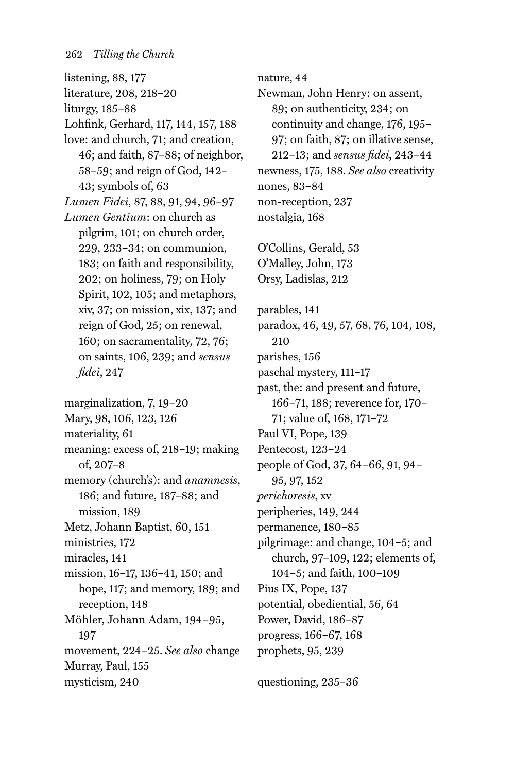listening, 88, 177 literature, 208, 218–20 liturgy, 185–88 Lohfink, Gerhard, 117, 144, 157, 188 love: and church, 71; and creation, 46; and faith, 87–88; of neighbor, 58–59; and reign of God, 142– 43; symbols of, 63 *Lumen Fidei*, 87, 88, 91, 94, 96–97 *Lumen Gentium*: on church as pilgrim, 101; on church order, 229, 233–34; on communion, 183; on faith and responsibility, 202; on holiness, 79; on Holy Spirit, 102, 105; and metaphors, xiv, 37; on mission, xix, 137; and reign of God, 25; on renewal, 160; on sacramentality, 72, 76; on saints, 106, 239; and *sensus fidei*, 247 marginalization, 7, 19–20

Mary, 98, 106, 123, 126 materiality, 61 meaning: excess of, 218–19; making of, 207–8 memory (church's): and *anamnesis*, 186; and future, 187–88; and mission, 189 Metz, Johann Baptist, 60, 151 ministries, 172 miracles, 141 mission, 16–17, 136–41, 150; and hope, 117; and memory, 189; and reception, 148 Möhler, Johann Adam, 194–95, 197 movement, 224–25. *See also* change Murray, Paul, 155 mysticism, 240

nature, 44 Newman, John Henry: on assent, 89; on authenticity, 234; on continuity and change, 176, 195– 97; on faith, 87; on illative sense, 212–13; and *sensus fidei*, 243–44 newness, 175, 188. *See also* creativity nones, 83–84 non-reception, 237 nostalgia, 168 O'Collins, Gerald, 53 O'Malley, John, 173 Orsy, Ladislas, 212 parables, 141 paradox, 46, 49, 57, 68, 76, 104, 108, 210 parishes, 156 paschal mystery, 111–17 past, the: and present and future, 166–71, 188; reverence for, 170– 71; value of, 168, 171–72 Paul VI, Pope, 139 Pentecost, 123–24 people of God, 37, 64–66, 91, 94– 95, 97, 152 *perichoresis*, xv peripheries, 149, 244 permanence, 180–85 pilgrimage: and change, 104–5; and church, 97–109, 122; elements of, 104–5; and faith, 100–109 Pius IX, Pope, 137 potential, obediential, 56, 64 Power, David, 186–87 progress, 166–67, 168 prophets, 95, 239

questioning, 235–36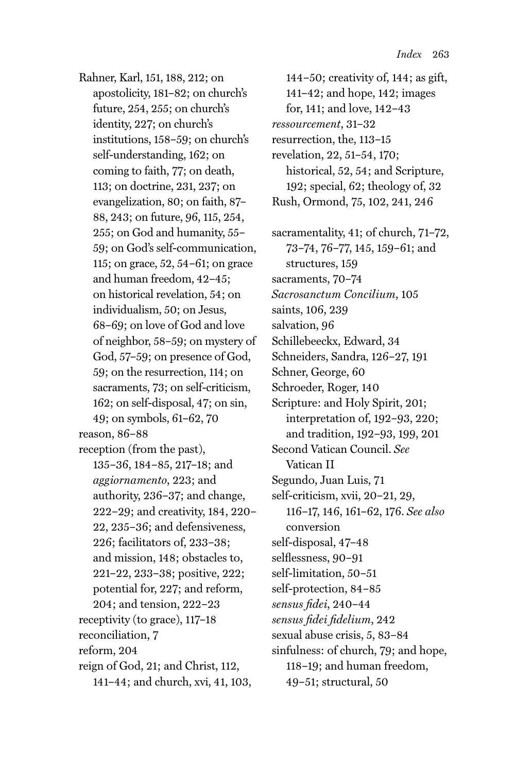Rahner, Karl, 151, 188, 212; on apostolicity, 181–82; on church's future, 254, 255; on church's identity, 227; on church's institutions, 158–59; on church's self-understanding, 162; on coming to faith, 77; on death, 113; on doctrine, 231, 237; on evangelization, 80; on faith, 87– 88, 243; on future, 96, 115, 254, 255; on God and humanity, 55– 59; on God's self-communication, 115; on grace, 52, 54–61; on grace and human freedom, 42–45; on historical revelation, 54; on individualism, 50; on Jesus, 68–69; on love of God and love of neighbor, 58–59; on mystery of God, 57–59; on presence of God, 59; on the resurrection, 114; on sacraments, 73; on self-criticism, 162; on self-disposal, 47; on sin, 49; on symbols, 61–62, 70 reason, 86–88 reception (from the past), 135–36, 184–85, 217–18; and *aggiornamento*, 223; and authority, 236–37; and change, 222–29; and creativity, 184, 220– 22, 235–36; and defensiveness, 226; facilitators of, 233–38; and mission, 148; obstacles to, 221–22, 233–38; positive, 222; potential for, 227; and reform, 204; and tension, 222–23

receptivity (to grace), 117–18 reconciliation, 7 reform, 204

reign of God, 21; and Christ, 112, 141–44; and church, xvi, 41, 103,

144–50; creativity of, 144; as gift, 141–42; and hope, 142; images for, 141; and love, 142–43 *ressourcement*, 31–32 resurrection, the, 113–15 revelation, 22, 51–54, 170; historical, 52, 54; and Scripture, 192; special, 62; theology of, 32 Rush, Ormond, 75, 102, 241, 246 sacramentality, 41; of church, 71–72, 73–74, 76–77, 145, 159–61; and structures, 159 sacraments, 70–74 *Sacrosanctum Concilium*, 105 saints, 106, 239 salvation, 96 Schillebeeckx, Edward, 34 Schneiders, Sandra, 126–27, 191 Schner, George, 60 Schroeder, Roger, 140 Scripture: and Holy Spirit, 201; interpretation of, 192–93, 220; and tradition, 192–93, 199, 201 Second Vatican Council. *See* Vatican II Segundo, Juan Luis, 71 self-criticism, xvii, 20–21, 29, 116–17, 146, 161–62, 176. *See also* conversion self-disposal, 47–48 selflessness, 90–91 self-limitation, 50–51 self-protection, 84–85 *sensus fidei*, 240–44 *sensus fidei fidelium*, 242 sexual abuse crisis, 5, 83–84 sinfulness: of church, 79; and hope, 118–19; and human freedom, 49–51; structural, 50